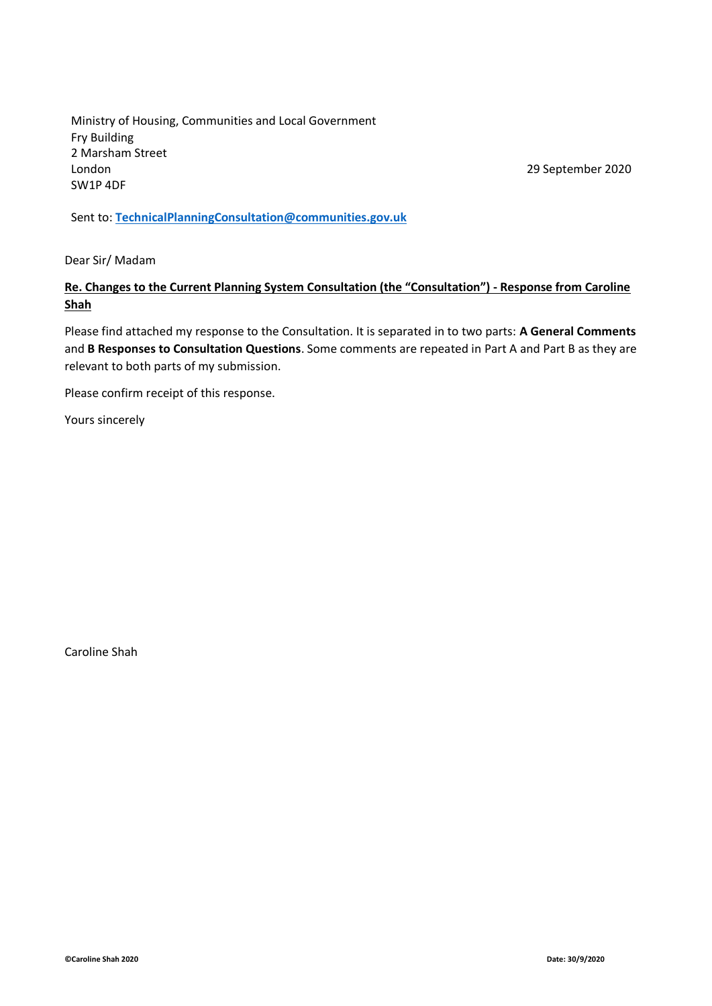Ministry of Housing, Communities and Local Government Fry Building 2 Marsham Street London SW1P 4DF

29 September 2020

Sent to: **[TechnicalPlanningConsultation@communities.gov.uk](mailto:TechnicalPlanningConsultation@communities.gov.uk)**

Dear Sir/ Madam

### **Re. Changes to the Current Planning System Consultation (the "Consultation") - Response from Caroline Shah**

Please find attached my response to the Consultation. It is separated in to two parts: **A General Comments** and **B Responses to Consultation Questions**. Some comments are repeated in Part A and Part B as they are relevant to both parts of my submission.

Please confirm receipt of this response.

Yours sincerely

Caroline Shah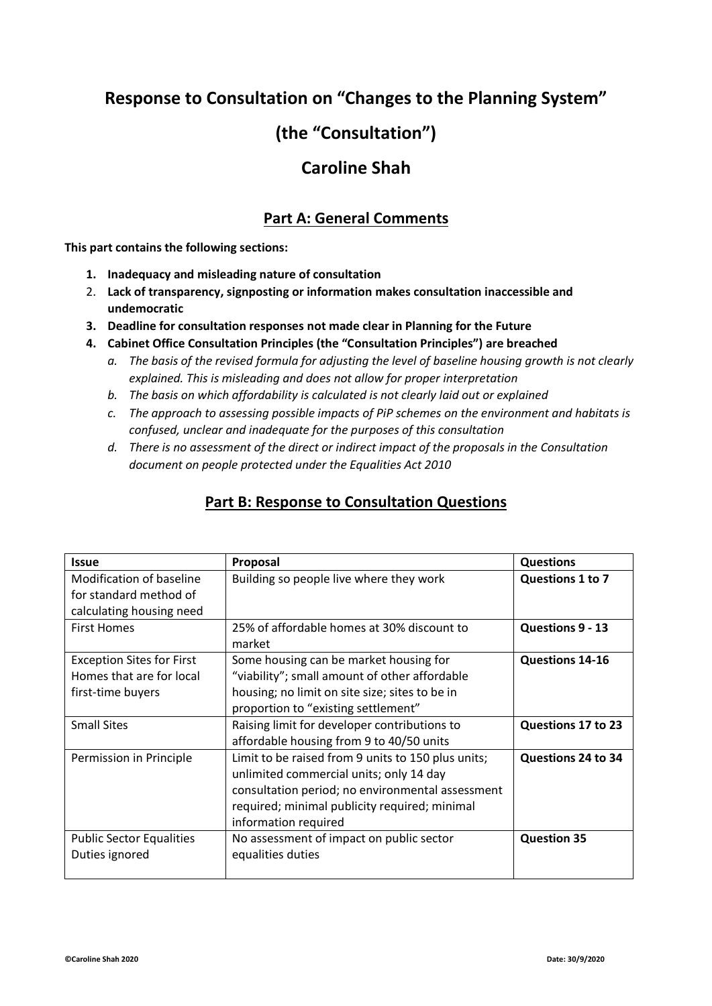## **Response to Consultation on "Changes to the Planning System"**

# **(the "Consultation")**

## **Caroline Shah**

## **Part A: General Comments**

**This part contains the following sections:**

- **1. Inadequacy and misleading nature of consultation**
- 2. **Lack of transparency, signposting or information makes consultation inaccessible and undemocratic**
- **3. Deadline for consultation responses not made clear in Planning for the Future**
- **4. Cabinet Office Consultation Principles (the "Consultation Principles") are breached**
	- *a. The basis of the revised formula for adjusting the level of baseline housing growth is not clearly explained. This is misleading and does not allow for proper interpretation*
	- *b. The basis on which affordability is calculated is not clearly laid out or explained*
	- *c. The approach to assessing possible impacts of PiP schemes on the environment and habitats is confused, unclear and inadequate for the purposes of this consultation*
	- *d. There is no assessment of the direct or indirect impact of the proposals in the Consultation document on people protected under the Equalities Act 2010*

| <b>Issue</b>                     | Proposal                                           | <b>Questions</b>   |
|----------------------------------|----------------------------------------------------|--------------------|
| Modification of baseline         | Building so people live where they work            | Questions 1 to 7   |
| for standard method of           |                                                    |                    |
| calculating housing need         |                                                    |                    |
| <b>First Homes</b>               | 25% of affordable homes at 30% discount to         | Questions 9 - 13   |
|                                  | market                                             |                    |
| <b>Exception Sites for First</b> | Some housing can be market housing for             | Questions 14-16    |
| Homes that are for local         | "viability"; small amount of other affordable      |                    |
| first-time buyers                | housing; no limit on site size; sites to be in     |                    |
|                                  | proportion to "existing settlement"                |                    |
| <b>Small Sites</b>               | Raising limit for developer contributions to       | Questions 17 to 23 |
|                                  | affordable housing from 9 to 40/50 units           |                    |
| Permission in Principle          | Limit to be raised from 9 units to 150 plus units; | Questions 24 to 34 |
|                                  | unlimited commercial units; only 14 day            |                    |
|                                  | consultation period; no environmental assessment   |                    |
|                                  | required; minimal publicity required; minimal      |                    |
|                                  | information required                               |                    |
| <b>Public Sector Equalities</b>  | No assessment of impact on public sector           | <b>Question 35</b> |
| Duties ignored                   | equalities duties                                  |                    |
|                                  |                                                    |                    |

### **Part B: Response to Consultation Questions**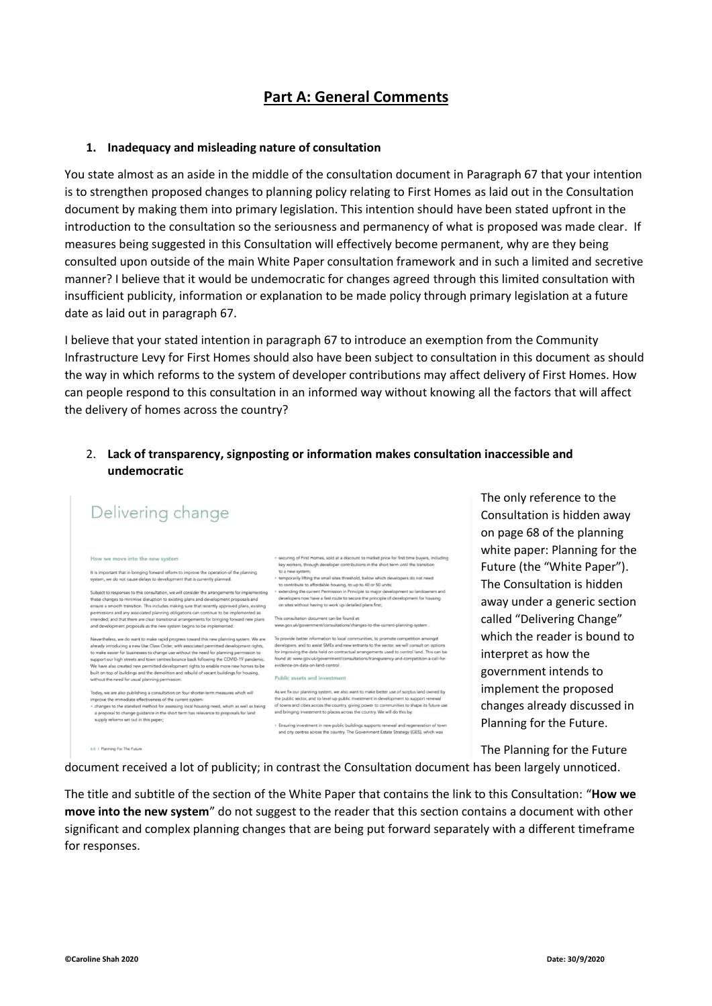## **Part A: General Comments**

#### **1. Inadequacy and misleading nature of consultation**

You state almost as an aside in the middle of the consultation document in Paragraph 67 that your intention is to strengthen proposed changes to planning policy relating to First Homes as laid out in the Consultation document by making them into primary legislation. This intention should have been stated upfront in the introduction to the consultation so the seriousness and permanency of what is proposed was made clear. If measures being suggested in this Consultation will effectively become permanent, why are they being consulted upon outside of the main White Paper consultation framework and in such a limited and secretive manner? I believe that it would be undemocratic for changes agreed through this limited consultation with insufficient publicity, information or explanation to be made policy through primary legislation at a future date as laid out in paragraph 67.

I believe that your stated intention in paragraph 67 to introduce an exemption from the Community Infrastructure Levy for First Homes should also have been subject to consultation in this document as should the way in which reforms to the system of developer contributions may affect delivery of First Homes. How can people respond to this consultation in an informed way without knowing all the factors that will affect the delivery of homes across the country?

### 2. **Lack of transparency, signposting or information makes consultation inaccessible and undemocratic**



The only reference to the Consultation is hidden away on page 68 of the planning white paper: Planning for the Future (the "White Paper"). The Consultation is hidden away under a generic section called "Delivering Change" which the reader is bound to interpret as how the government intends to implement the proposed changes already discussed in Planning for the Future.

The Planning for the Future

document received a lot of publicity; in contrast the Consultation document has been largely unnoticed.

The title and subtitle of the section of the White Paper that contains the link to this Consultation: "**How we move into the new system**" do not suggest to the reader that this section contains a document with other significant and complex planning changes that are being put forward separately with a different timeframe for responses.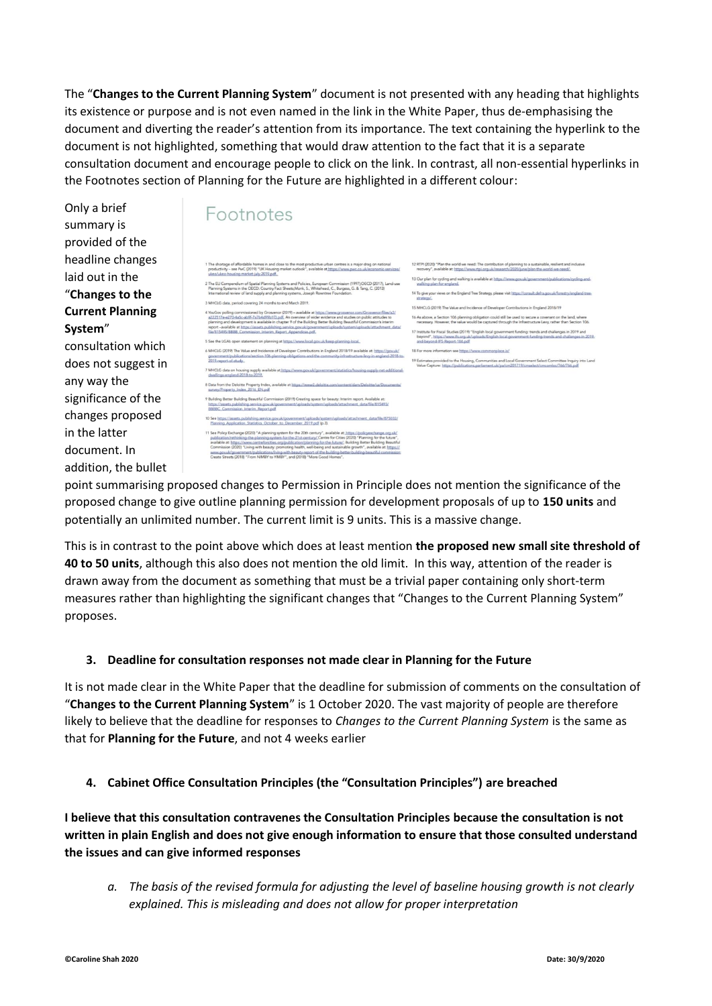The "**Changes to the Current Planning System**" document is not presented with any heading that highlights its existence or purpose and is not even named in the link in the White Paper, thus de-emphasising the document and diverting the reader's attention from its importance. The text containing the hyperlink to the document is not highlighted, something that would draw attention to the fact that it is a separate consultation document and encourage people to click on the link. In contrast, all non-essential hyperlinks in the Footnotes section of Planning for the Future are highlighted in a different colour:

Only a brief summary is provided of the headline changes laid out in the "**Changes to the Current Planning System**" consultation which does not suggest in any way the significance of the changes proposed in the latter document. In addition, the bullet

# Footnotes

| The shortage of affordable homes in and close to the most productive urban centres is a major drag on national<br>productivity - see PwC (2019) "UK Housing market outlook", available at https://www.pwc.co.uk/economic-services/<br>ukeo/ukeo-housing-market-july-2019.pdf.                                                                                                                                                                                                                                                                                                                                                                                                                     | 12             |
|---------------------------------------------------------------------------------------------------------------------------------------------------------------------------------------------------------------------------------------------------------------------------------------------------------------------------------------------------------------------------------------------------------------------------------------------------------------------------------------------------------------------------------------------------------------------------------------------------------------------------------------------------------------------------------------------------|----------------|
|                                                                                                                                                                                                                                                                                                                                                                                                                                                                                                                                                                                                                                                                                                   | 13             |
| 2 The EU Compendium of Spatial Planning Systems and Policies, European Commission (1997);OECD (2017), Land-use<br>Planning Systems in the OECD: Country Fact Sheets: Monk, S., Whitehead, C., Burgess, G. & Tang, C. (2013)<br>International review of land supply and planning systems, Joseph Rowntree Foundation.                                                                                                                                                                                                                                                                                                                                                                              | 14             |
| 3 MHCLG data, period covering 24 months to end March 2019.                                                                                                                                                                                                                                                                                                                                                                                                                                                                                                                                                                                                                                        |                |
| 1 YouGov polling commissioned by Grosvenor (2019) - available at https://www.grosvenor.com/Grosvenor/files/a2/<br>a222517e-e270-4a5c-ab9f-7a7b4d99b1f3.pdf. An overview of wider evidence and studies on public attitudes to<br>planning and development is available in chapter 9 of the Building Better Building Beautiful Commission's interim<br>report-available at https://assets.publishing.service.gov.uk/government/uploads/system/uploads/attachment_data/<br>file/815495/BBBB Commission Interim Report Appendices.pdf.                                                                                                                                                                | 15<br>16<br>17 |
| See the LGA's open statement on planning at https://www.local.gov.uk/keep-planning-local.                                                                                                                                                                                                                                                                                                                                                                                                                                                                                                                                                                                                         |                |
| 6 MHCLG (2019) The Value and Incidence of Developer Contributions in England 2018/19 available at: https://gov.uk/<br>government/publications/section-106-planning-obligations-and-the-community-infrastructure-levy-in-england-2018-to-<br>2019-report-of-study                                                                                                                                                                                                                                                                                                                                                                                                                                  | 18<br>19       |
| MHCLG data on housing supply available at https://www.gov.uk/government/statistics/housing-supply-net-additional-<br>dwellings-england-2018-to-2019.                                                                                                                                                                                                                                                                                                                                                                                                                                                                                                                                              |                |
| B Data from the Deloitte Property Index, available at https://www2.deloitte.com/content/dam/Deloitte/cz/Documents/<br>survey/Property Index 2016 EN.pdf                                                                                                                                                                                                                                                                                                                                                                                                                                                                                                                                           |                |
| 9 Building Better Building Beautiful Commission (2019) Creating space for beauty: Interim report. Available at:<br>https://assets.publishing.service.pov.uk/government/uploads/system/uploads/attachment_data/file/815493/<br>BBBBC Commission Interim Report.pdf                                                                                                                                                                                                                                                                                                                                                                                                                                 |                |
| 10 See https://assets.publishing.service.gov.uk/government/uploads/system/uploads/attachment_data/file/875032/<br>Planning Application Statistics October to December 2019.pdf (p.3).                                                                                                                                                                                                                                                                                                                                                                                                                                                                                                             |                |
| 11 See Policy Exchange (2020) "A planning system for the 20th century", available at: https://policyexchange.org.uk/<br>publication/rethinking-the-planning-system-for-the-21st-century/ Centre for Cities (2020) "Planning for the future",<br>available at: https://www.centreforcities.org/publication/planning-for-the-future/; Building Better Building Beautiful<br>Commission (2020) "Living with beauty: promoting health, well-being and sustainable growth", available at: https://<br>www.gov.uk/government/publications/living-with-beauty-report-of-the-building-better-building-beautiful-commission:<br>Create Streets (2018) "From NIMBY to YIMBY", and (2018) "More Good Homes". |                |

.<br>P. RTPI (2020) "Plan the world we need: The contribution of planning to a sustain recovery", available at: https://www.rtpi.org.uk/research/2020/june/plan-the Our plan for cycling and walking is available at https://www.gov.uk/governalistylen.com To give your views on the England Tree Strategy, please visit https:// .<br>MHCLG (2019) The Value and Incidence of Developer Contributions in England 2018/19 .<br>We, a Section 106 planning obligation could still be used to secure a covenant on the land, where<br>any. However, the value would be captured through the Infrastructure Levy, rather than Section 106 site word or capacity except are imaginately corp, team site become the<br>.org.uk/uploads/English-local-government funding-trends and challenges in 2019 and<br>.org.uk/uploads/English-local-government-funding-trends and challen on see https://v Ail essignommo Simates provided to the Housing, Communities and Local Government Select Committee Inquiry into Land

point summarising proposed changes to Permission in Principle does not mention the significance of the proposed change to give outline planning permission for development proposals of up to **150 units** and potentially an unlimited number. The current limit is 9 units. This is a massive change.

This is in contrast to the point above which does at least mention **the proposed new small site threshold of 40 to 50 units**, although this also does not mention the old limit. In this way, attention of the reader is drawn away from the document as something that must be a trivial paper containing only short-term measures rather than highlighting the significant changes that "Changes to the Current Planning System" proposes.

### **3. Deadline for consultation responses not made clear in Planning for the Future**

It is not made clear in the White Paper that the deadline for submission of comments on the consultation of "**Changes to the Current Planning System**" is 1 October 2020. The vast majority of people are therefore likely to believe that the deadline for responses to *Changes to the Current Planning System* is the same as that for **Planning for the Future**, and not 4 weeks earlier

### **4. Cabinet Office Consultation Principles (the "Consultation Principles") are breached**

**I believe that this consultation contravenes the Consultation Principles because the consultation is not written in plain English and does not give enough information to ensure that those consulted understand the issues and can give informed responses**

*a. The basis of the revised formula for adjusting the level of baseline housing growth is not clearly explained. This is misleading and does not allow for proper interpretation*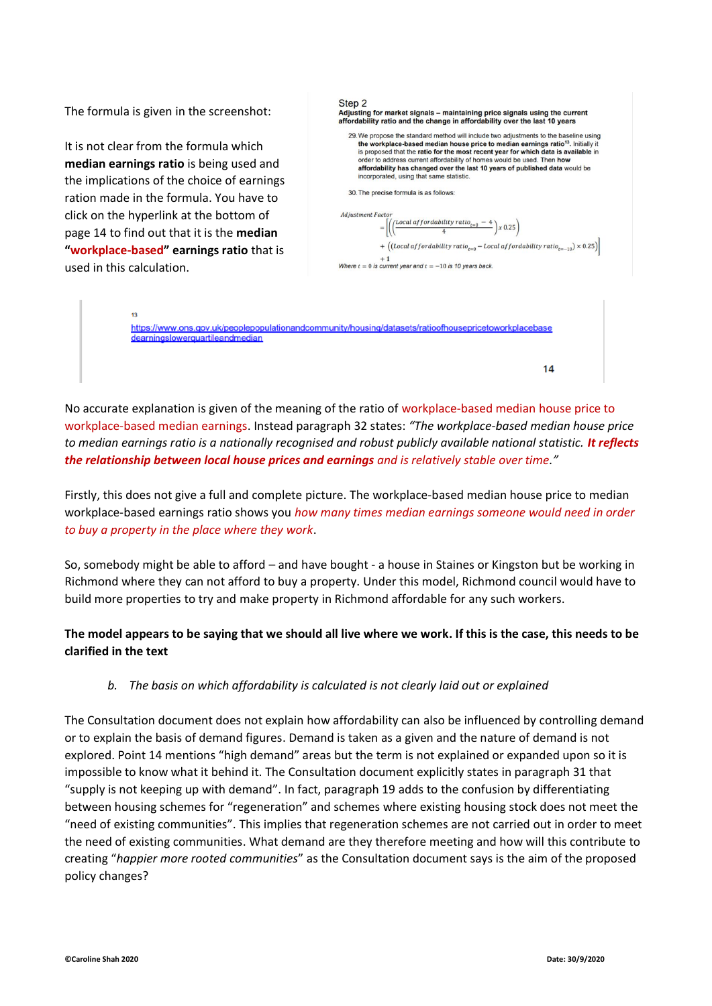The formula is given in the screenshot:

It is not clear from the formula which **median earnings ratio** is being used and the implications of the choice of earnings ration made in the formula. You have to click on the hyperlink at the bottom of page 14 to find out that it is the **median "workplace-based" earnings ratio** that is used in this calculation.

dearningslowerguartileandmedian



 $14$ 

No accurate explanation is given of the meaning of the ratio of workplace-based median house price to workplace-based median earnings. Instead paragraph 32 states: *"The workplace-based median house price to median earnings ratio is a nationally recognised and robust publicly available national statistic. It reflects the relationship between local house prices and earnings and is relatively stable over time."*

Firstly, this does not give a full and complete picture. The workplace-based median house price to median workplace-based earnings ratio shows you *how many times median earnings someone would need in order to buy a property in the place where they work*.

So, somebody might be able to afford – and have bought - a house in Staines or Kingston but be working in Richmond where they can not afford to buy a property. Under this model, Richmond council would have to build more properties to try and make property in Richmond affordable for any such workers.

### **The model appears to be saying that we should all live where we work. If this is the case, this needs to be clarified in the text**

### *b. The basis on which affordability is calculated is not clearly laid out or explained*

The Consultation document does not explain how affordability can also be influenced by controlling demand or to explain the basis of demand figures. Demand is taken as a given and the nature of demand is not explored. Point 14 mentions "high demand" areas but the term is not explained or expanded upon so it is impossible to know what it behind it. The Consultation document explicitly states in paragraph 31 that "supply is not keeping up with demand". In fact, paragraph 19 adds to the confusion by differentiating between housing schemes for "regeneration" and schemes where existing housing stock does not meet the "need of existing communities". This implies that regeneration schemes are not carried out in order to meet the need of existing communities. What demand are they therefore meeting and how will this contribute to creating "*happier more rooted communities*" as the Consultation document says is the aim of the proposed policy changes?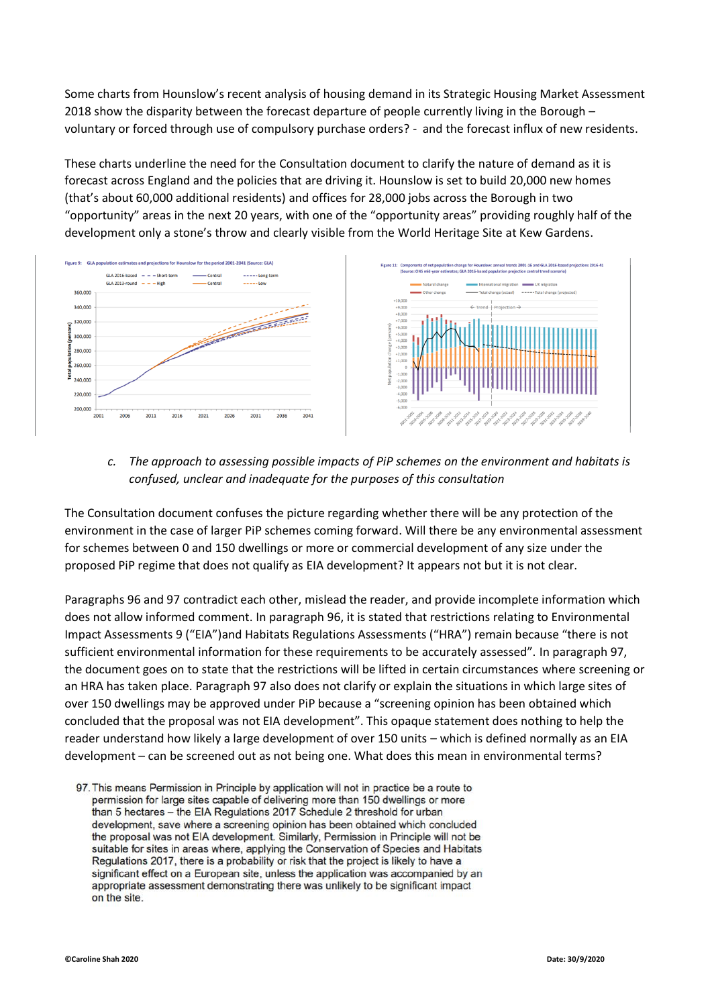Some charts from Hounslow's recent analysis of housing demand in its Strategic Housing Market Assessment 2018 show the disparity between the forecast departure of people currently living in the Borough – voluntary or forced through use of compulsory purchase orders? - and the forecast influx of new residents.

These charts underline the need for the Consultation document to clarify the nature of demand as it is forecast across England and the policies that are driving it. Hounslow is set to build 20,000 new homes (that's about 60,000 additional residents) and offices for 28,000 jobs across the Borough in two "opportunity" areas in the next 20 years, with one of the "opportunity areas" providing roughly half of the development only a stone's throw and clearly visible from the World Heritage Site at Kew Gardens.



### *c. The approach to assessing possible impacts of PiP schemes on the environment and habitats is confused, unclear and inadequate for the purposes of this consultation*

The Consultation document confuses the picture regarding whether there will be any protection of the environment in the case of larger PiP schemes coming forward. Will there be any environmental assessment for schemes between 0 and 150 dwellings or more or commercial development of any size under the proposed PiP regime that does not qualify as EIA development? It appears not but it is not clear.

Paragraphs 96 and 97 contradict each other, mislead the reader, and provide incomplete information which does not allow informed comment. In paragraph 96, it is stated that restrictions relating to Environmental Impact Assessments 9 ("EIA")and Habitats Regulations Assessments ("HRA") remain because "there is not sufficient environmental information for these requirements to be accurately assessed". In paragraph 97, the document goes on to state that the restrictions will be lifted in certain circumstances where screening or an HRA has taken place. Paragraph 97 also does not clarify or explain the situations in which large sites of over 150 dwellings may be approved under PiP because a "screening opinion has been obtained which concluded that the proposal was not EIA development". This opaque statement does nothing to help the reader understand how likely a large development of over 150 units – which is defined normally as an EIA development – can be screened out as not being one. What does this mean in environmental terms?

<sup>97.</sup> This means Permission in Principle by application will not in practice be a route to permission for large sites capable of delivering more than 150 dwellings or more than 5 hectares - the EIA Regulations 2017 Schedule 2 threshold for urban development, save where a screening opinion has been obtained which concluded the proposal was not EIA development. Similarly, Permission in Principle will not be suitable for sites in areas where, applying the Conservation of Species and Habitats Regulations 2017, there is a probability or risk that the project is likely to have a significant effect on a European site, unless the application was accompanied by an appropriate assessment demonstrating there was unlikely to be significant impact on the site.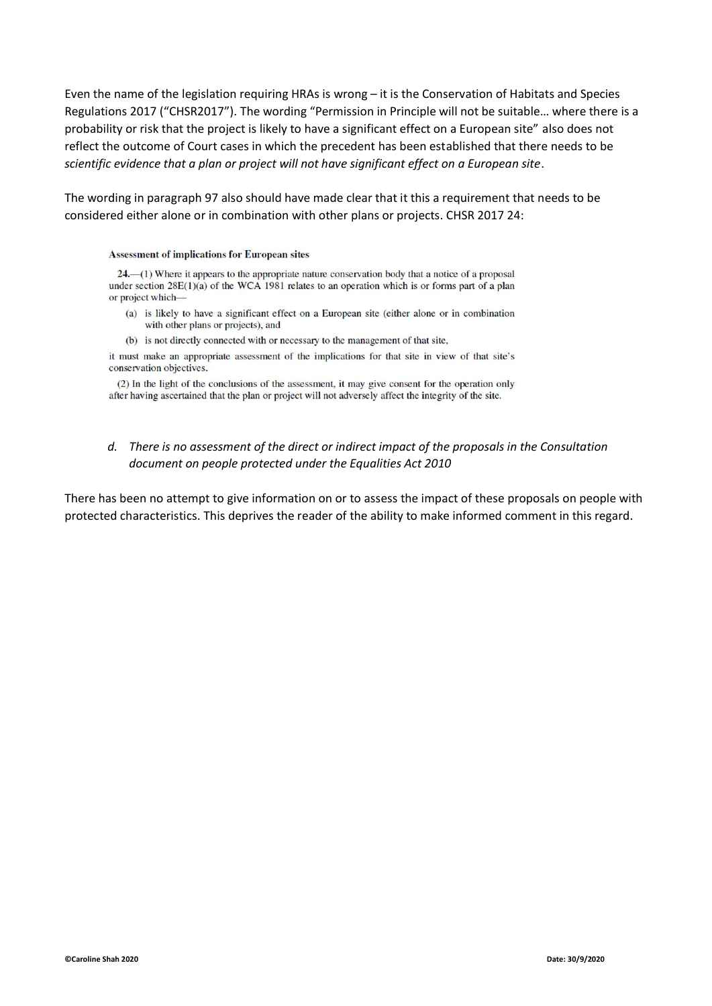Even the name of the legislation requiring HRAs is wrong – it is the Conservation of Habitats and Species Regulations 2017 ("CHSR2017"). The wording "Permission in Principle will not be suitable… where there is a probability or risk that the project is likely to have a significant effect on a European site" also does not reflect the outcome of Court cases in which the precedent has been established that there needs to be *scientific evidence that a plan or project will not have significant effect on a European site*.

The wording in paragraph 97 also should have made clear that it this a requirement that needs to be considered either alone or in combination with other plans or projects. CHSR 2017 24:

#### **Assessment of implications for European sites**

 $24$ — $(1)$  Where it appears to the appropriate nature conservation body that a notice of a proposal under section  $28E(1)(a)$  of the WCA 1981 relates to an operation which is or forms part of a plan or project which-

- (a) is likely to have a significant effect on a European site (either alone or in combination with other plans or projects), and
- (b) is not directly connected with or necessary to the management of that site,

it must make an appropriate assessment of the implications for that site in view of that site's conservation objectives.

(2) In the light of the conclusions of the assessment, it may give consent for the operation only after having ascertained that the plan or project will not adversely affect the integrity of the site.

### *d. There is no assessment of the direct or indirect impact of the proposals in the Consultation document on people protected under the Equalities Act 2010*

There has been no attempt to give information on or to assess the impact of these proposals on people with protected characteristics. This deprives the reader of the ability to make informed comment in this regard.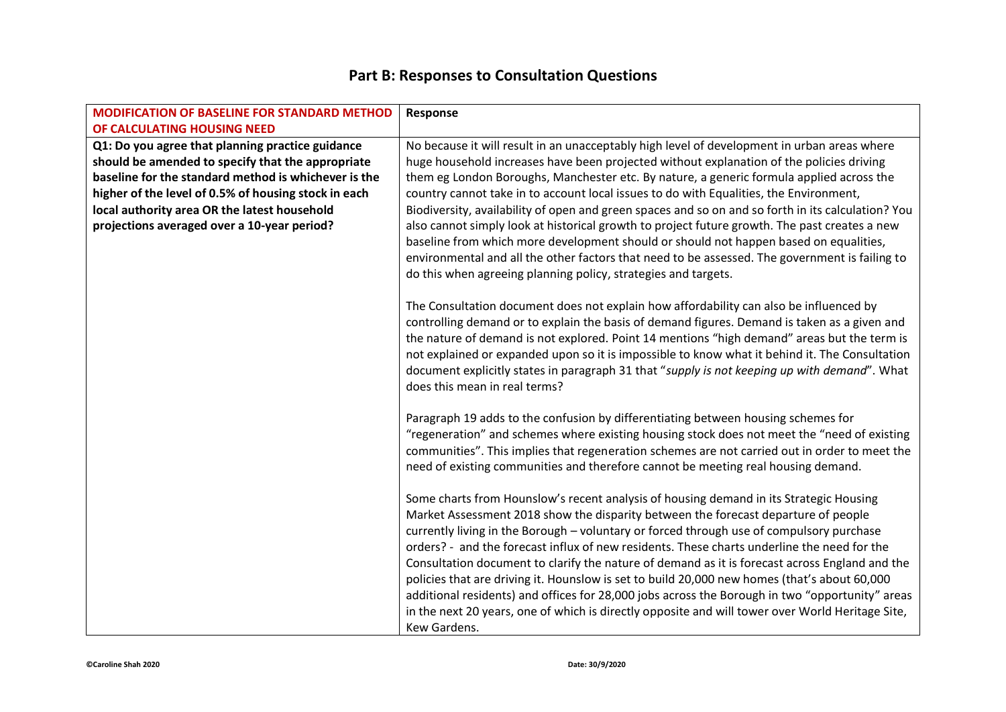## **Part B: Responses to Consultation Questions**

| <b>MODIFICATION OF BASELINE FOR STANDARD METHOD</b>  | Response                                                                                                                                                                                                                                                                                                                                                                                                                                                                                                                                                                                                                                                                                                                                                                                         |
|------------------------------------------------------|--------------------------------------------------------------------------------------------------------------------------------------------------------------------------------------------------------------------------------------------------------------------------------------------------------------------------------------------------------------------------------------------------------------------------------------------------------------------------------------------------------------------------------------------------------------------------------------------------------------------------------------------------------------------------------------------------------------------------------------------------------------------------------------------------|
| OF CALCULATING HOUSING NEED                          |                                                                                                                                                                                                                                                                                                                                                                                                                                                                                                                                                                                                                                                                                                                                                                                                  |
| Q1: Do you agree that planning practice guidance     | No because it will result in an unacceptably high level of development in urban areas where                                                                                                                                                                                                                                                                                                                                                                                                                                                                                                                                                                                                                                                                                                      |
| should be amended to specify that the appropriate    | huge household increases have been projected without explanation of the policies driving                                                                                                                                                                                                                                                                                                                                                                                                                                                                                                                                                                                                                                                                                                         |
| baseline for the standard method is whichever is the | them eg London Boroughs, Manchester etc. By nature, a generic formula applied across the                                                                                                                                                                                                                                                                                                                                                                                                                                                                                                                                                                                                                                                                                                         |
| higher of the level of 0.5% of housing stock in each | country cannot take in to account local issues to do with Equalities, the Environment,                                                                                                                                                                                                                                                                                                                                                                                                                                                                                                                                                                                                                                                                                                           |
| local authority area OR the latest household         | Biodiversity, availability of open and green spaces and so on and so forth in its calculation? You                                                                                                                                                                                                                                                                                                                                                                                                                                                                                                                                                                                                                                                                                               |
| projections averaged over a 10-year period?          | also cannot simply look at historical growth to project future growth. The past creates a new<br>baseline from which more development should or should not happen based on equalities,<br>environmental and all the other factors that need to be assessed. The government is failing to<br>do this when agreeing planning policy, strategies and targets.                                                                                                                                                                                                                                                                                                                                                                                                                                       |
|                                                      | The Consultation document does not explain how affordability can also be influenced by<br>controlling demand or to explain the basis of demand figures. Demand is taken as a given and<br>the nature of demand is not explored. Point 14 mentions "high demand" areas but the term is<br>not explained or expanded upon so it is impossible to know what it behind it. The Consultation<br>document explicitly states in paragraph 31 that "supply is not keeping up with demand". What<br>does this mean in real terms?                                                                                                                                                                                                                                                                         |
|                                                      | Paragraph 19 adds to the confusion by differentiating between housing schemes for<br>"regeneration" and schemes where existing housing stock does not meet the "need of existing<br>communities". This implies that regeneration schemes are not carried out in order to meet the<br>need of existing communities and therefore cannot be meeting real housing demand.                                                                                                                                                                                                                                                                                                                                                                                                                           |
|                                                      | Some charts from Hounslow's recent analysis of housing demand in its Strategic Housing<br>Market Assessment 2018 show the disparity between the forecast departure of people<br>currently living in the Borough - voluntary or forced through use of compulsory purchase<br>orders? - and the forecast influx of new residents. These charts underline the need for the<br>Consultation document to clarify the nature of demand as it is forecast across England and the<br>policies that are driving it. Hounslow is set to build 20,000 new homes (that's about 60,000<br>additional residents) and offices for 28,000 jobs across the Borough in two "opportunity" areas<br>in the next 20 years, one of which is directly opposite and will tower over World Heritage Site,<br>Kew Gardens. |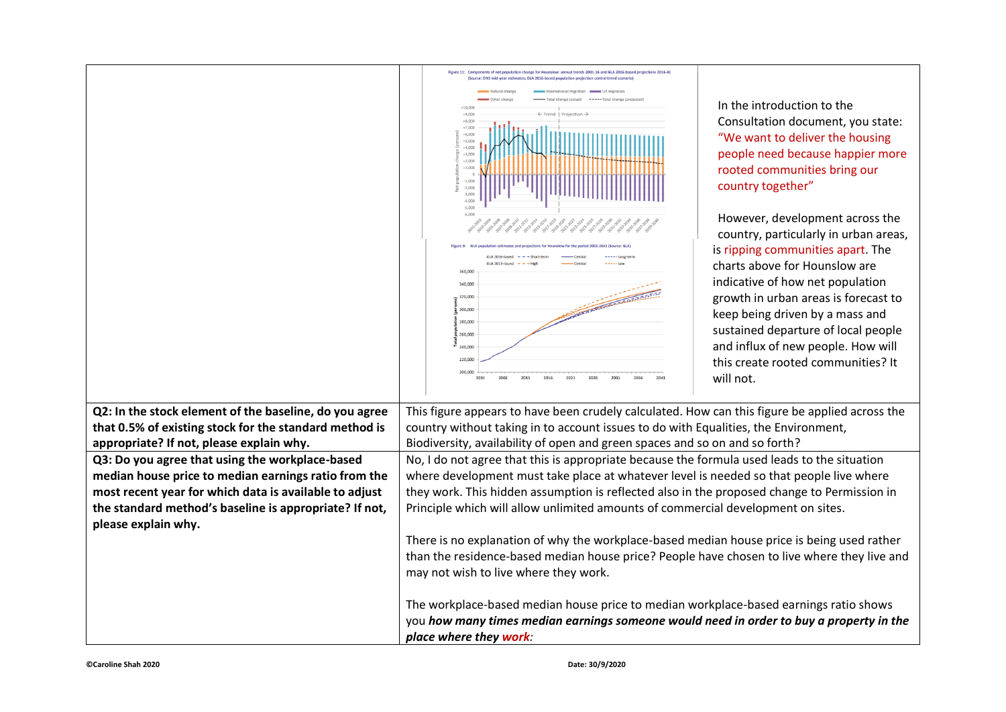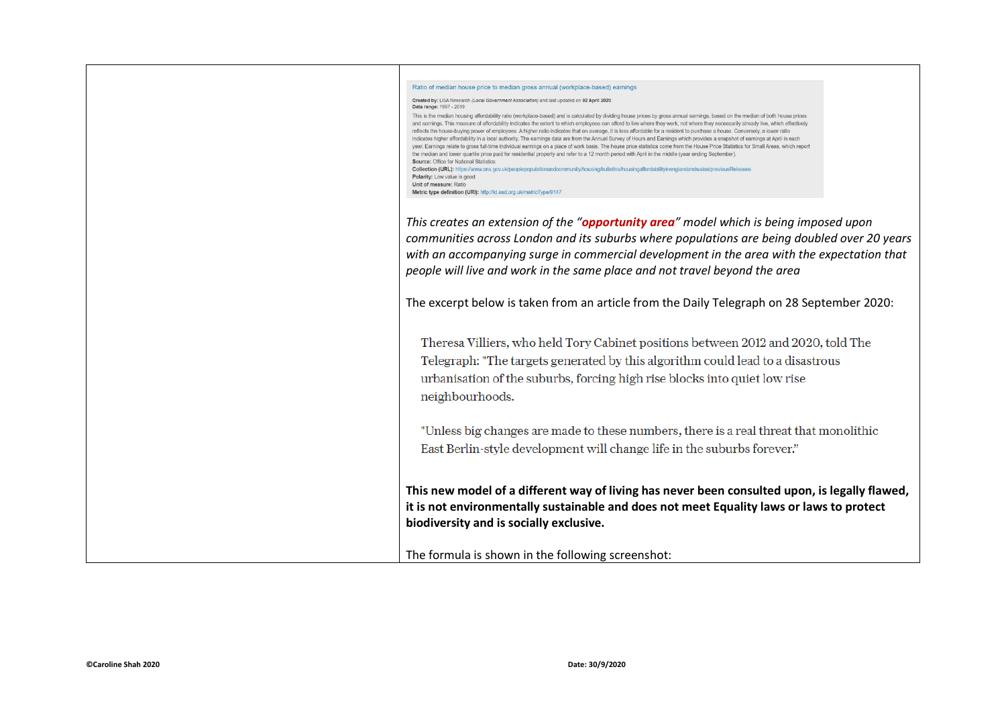| Ratio of median house price to median gross annual (workplace-based) earnings                                                                                                                                                                                                                                                                                                                                                                                                                                                                                                                                                                                                                                                                                                                                                                                                                                                                                                                                                                                                                                                                                                                                                                                                                                                                                                                                  |
|----------------------------------------------------------------------------------------------------------------------------------------------------------------------------------------------------------------------------------------------------------------------------------------------------------------------------------------------------------------------------------------------------------------------------------------------------------------------------------------------------------------------------------------------------------------------------------------------------------------------------------------------------------------------------------------------------------------------------------------------------------------------------------------------------------------------------------------------------------------------------------------------------------------------------------------------------------------------------------------------------------------------------------------------------------------------------------------------------------------------------------------------------------------------------------------------------------------------------------------------------------------------------------------------------------------------------------------------------------------------------------------------------------------|
| Created by: LGA Research (Local Government Association) and last updated on 02 April 2020<br>Data range: 1997 - 2019                                                                                                                                                                                                                                                                                                                                                                                                                                                                                                                                                                                                                                                                                                                                                                                                                                                                                                                                                                                                                                                                                                                                                                                                                                                                                           |
| This is the median housing affordability ratio (workplace-based) and is calculated by dividing house prices by gross annual earnings, based on the median of both house prices<br>and earnings. This measure of affordability indicates the extent to which employees can afford to live where they work, not where they necessarily already live, which effectively<br>reflects the house-buying power of employees. A higher ratio indicates that on average, it is less affordable for a resident to purchase a house. Conversely, a lower ratio<br>indicates higher affordability in a local authority. The earnings data are from the Annual Survey of Hours and Earnings which provides a snapshot of earnings at April in each<br>year. Earnings relate to gross full-time individual earnings on a place of work basis. The house price statistics come from the House Price Statistics for Small Areas, which report<br>the median and lower quartile price paid for residential property and refer to a 12 month period with April in the middle (year ending September).<br>Source: Office for National Statistics<br>Collection (URL): https://www.ons.gov.uk/peoplepopulationandcommunity/housing/bulletins/housingaffordabilityinenglandandwales/previousReleases<br>Polarity: Low value is good<br>Unit of measure: Ratio<br>Metric type definition (URI): http://id.esd.org.uk/metricType/9147 |
|                                                                                                                                                                                                                                                                                                                                                                                                                                                                                                                                                                                                                                                                                                                                                                                                                                                                                                                                                                                                                                                                                                                                                                                                                                                                                                                                                                                                                |
| This creates an extension of the "opportunity area" model which is being imposed upon                                                                                                                                                                                                                                                                                                                                                                                                                                                                                                                                                                                                                                                                                                                                                                                                                                                                                                                                                                                                                                                                                                                                                                                                                                                                                                                          |
| communities across London and its suburbs where populations are being doubled over 20 years                                                                                                                                                                                                                                                                                                                                                                                                                                                                                                                                                                                                                                                                                                                                                                                                                                                                                                                                                                                                                                                                                                                                                                                                                                                                                                                    |
| with an accompanying surge in commercial development in the area with the expectation that                                                                                                                                                                                                                                                                                                                                                                                                                                                                                                                                                                                                                                                                                                                                                                                                                                                                                                                                                                                                                                                                                                                                                                                                                                                                                                                     |
| people will live and work in the same place and not travel beyond the area                                                                                                                                                                                                                                                                                                                                                                                                                                                                                                                                                                                                                                                                                                                                                                                                                                                                                                                                                                                                                                                                                                                                                                                                                                                                                                                                     |
|                                                                                                                                                                                                                                                                                                                                                                                                                                                                                                                                                                                                                                                                                                                                                                                                                                                                                                                                                                                                                                                                                                                                                                                                                                                                                                                                                                                                                |
| The excerpt below is taken from an article from the Daily Telegraph on 28 September 2020:                                                                                                                                                                                                                                                                                                                                                                                                                                                                                                                                                                                                                                                                                                                                                                                                                                                                                                                                                                                                                                                                                                                                                                                                                                                                                                                      |
|                                                                                                                                                                                                                                                                                                                                                                                                                                                                                                                                                                                                                                                                                                                                                                                                                                                                                                                                                                                                                                                                                                                                                                                                                                                                                                                                                                                                                |
| Theresa Villiers, who held Tory Cabinet positions between 2012 and 2020, told The                                                                                                                                                                                                                                                                                                                                                                                                                                                                                                                                                                                                                                                                                                                                                                                                                                                                                                                                                                                                                                                                                                                                                                                                                                                                                                                              |
| Telegraph: "The targets generated by this algorithm could lead to a disastrous                                                                                                                                                                                                                                                                                                                                                                                                                                                                                                                                                                                                                                                                                                                                                                                                                                                                                                                                                                                                                                                                                                                                                                                                                                                                                                                                 |
|                                                                                                                                                                                                                                                                                                                                                                                                                                                                                                                                                                                                                                                                                                                                                                                                                                                                                                                                                                                                                                                                                                                                                                                                                                                                                                                                                                                                                |
| urbanisation of the suburbs, forcing high rise blocks into quiet low rise                                                                                                                                                                                                                                                                                                                                                                                                                                                                                                                                                                                                                                                                                                                                                                                                                                                                                                                                                                                                                                                                                                                                                                                                                                                                                                                                      |
| neighbourhoods.                                                                                                                                                                                                                                                                                                                                                                                                                                                                                                                                                                                                                                                                                                                                                                                                                                                                                                                                                                                                                                                                                                                                                                                                                                                                                                                                                                                                |
|                                                                                                                                                                                                                                                                                                                                                                                                                                                                                                                                                                                                                                                                                                                                                                                                                                                                                                                                                                                                                                                                                                                                                                                                                                                                                                                                                                                                                |
| "Unless big changes are made to these numbers, there is a real threat that monolithic                                                                                                                                                                                                                                                                                                                                                                                                                                                                                                                                                                                                                                                                                                                                                                                                                                                                                                                                                                                                                                                                                                                                                                                                                                                                                                                          |
| East Berlin-style development will change life in the suburbs forever."                                                                                                                                                                                                                                                                                                                                                                                                                                                                                                                                                                                                                                                                                                                                                                                                                                                                                                                                                                                                                                                                                                                                                                                                                                                                                                                                        |
|                                                                                                                                                                                                                                                                                                                                                                                                                                                                                                                                                                                                                                                                                                                                                                                                                                                                                                                                                                                                                                                                                                                                                                                                                                                                                                                                                                                                                |
|                                                                                                                                                                                                                                                                                                                                                                                                                                                                                                                                                                                                                                                                                                                                                                                                                                                                                                                                                                                                                                                                                                                                                                                                                                                                                                                                                                                                                |
| This new model of a different way of living has never been consulted upon, is legally flawed,                                                                                                                                                                                                                                                                                                                                                                                                                                                                                                                                                                                                                                                                                                                                                                                                                                                                                                                                                                                                                                                                                                                                                                                                                                                                                                                  |
| it is not environmentally sustainable and does not meet Equality laws or laws to protect                                                                                                                                                                                                                                                                                                                                                                                                                                                                                                                                                                                                                                                                                                                                                                                                                                                                                                                                                                                                                                                                                                                                                                                                                                                                                                                       |
| biodiversity and is socially exclusive.                                                                                                                                                                                                                                                                                                                                                                                                                                                                                                                                                                                                                                                                                                                                                                                                                                                                                                                                                                                                                                                                                                                                                                                                                                                                                                                                                                        |
|                                                                                                                                                                                                                                                                                                                                                                                                                                                                                                                                                                                                                                                                                                                                                                                                                                                                                                                                                                                                                                                                                                                                                                                                                                                                                                                                                                                                                |
| The formula is shown in the following screenshot:                                                                                                                                                                                                                                                                                                                                                                                                                                                                                                                                                                                                                                                                                                                                                                                                                                                                                                                                                                                                                                                                                                                                                                                                                                                                                                                                                              |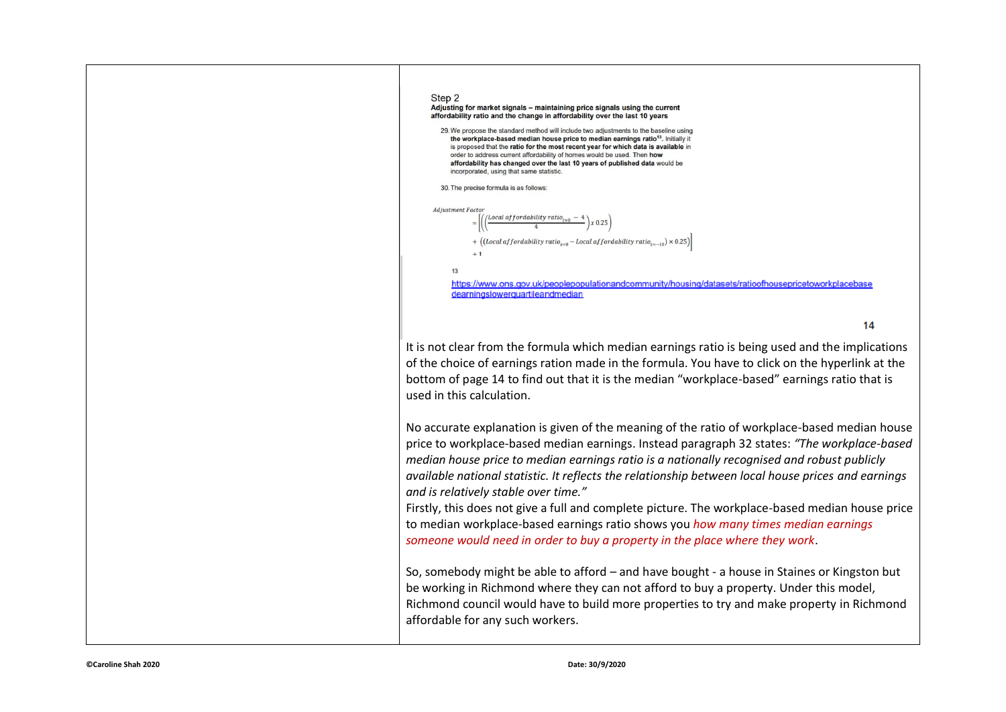

It is not clear from the formula which median earnings ratio is being used and the implications of the choice of earnings ration made in the formula. You have to click on the hyperlink at the bottom of page 14 to find out that it is the median "workplace-based" earnings ratio that is used in this calculation.

No accurate explanation is given of the meaning of the ratio of workplace-based median house price to workplace-based median earnings. Instead paragraph 32 states: *"The workplace-based median house price to median earnings ratio is a nationally recognised and robust publicly available national statistic. It reflects the relationship between local house prices and earnings and is relatively stable over time."*

Firstly, this does not give a full and complete picture. The workplace-based median house price to median workplace-based earnings ratio shows you *how many times median earnings someone would need in order to buy a property in the place where they work*.

So, somebody might be able to afford – and have bought - a house in Staines or Kingston but be working in Richmond where they can not afford to buy a property. Under this model, Richmond council would have to build more properties to try and make property in Richmond affordable for any such workers.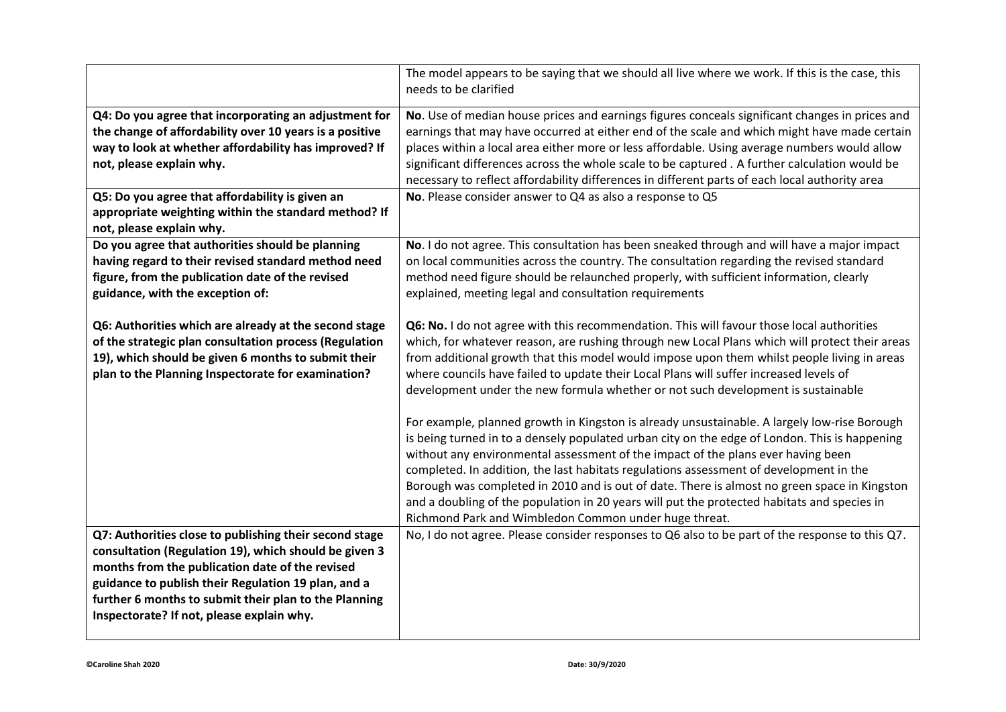|                                                                                                                                                                                                                                                                                                                                              | The model appears to be saying that we should all live where we work. If this is the case, this<br>needs to be clarified                                                                                                                                                                                                                                                                                                                                                                                                                                                                                                                                                                                                                                                                                                                                                                                                                                |
|----------------------------------------------------------------------------------------------------------------------------------------------------------------------------------------------------------------------------------------------------------------------------------------------------------------------------------------------|---------------------------------------------------------------------------------------------------------------------------------------------------------------------------------------------------------------------------------------------------------------------------------------------------------------------------------------------------------------------------------------------------------------------------------------------------------------------------------------------------------------------------------------------------------------------------------------------------------------------------------------------------------------------------------------------------------------------------------------------------------------------------------------------------------------------------------------------------------------------------------------------------------------------------------------------------------|
| Q4: Do you agree that incorporating an adjustment for<br>the change of affordability over 10 years is a positive<br>way to look at whether affordability has improved? If<br>not, please explain why.<br>Q5: Do you agree that affordability is given an<br>appropriate weighting within the standard method? If<br>not, please explain why. | No. Use of median house prices and earnings figures conceals significant changes in prices and<br>earnings that may have occurred at either end of the scale and which might have made certain<br>places within a local area either more or less affordable. Using average numbers would allow<br>significant differences across the whole scale to be captured . A further calculation would be<br>necessary to reflect affordability differences in different parts of each local authority area<br>No. Please consider answer to Q4 as also a response to Q5                                                                                                                                                                                                                                                                                                                                                                                         |
| Do you agree that authorities should be planning<br>having regard to their revised standard method need<br>figure, from the publication date of the revised<br>guidance, with the exception of:                                                                                                                                              | No. I do not agree. This consultation has been sneaked through and will have a major impact<br>on local communities across the country. The consultation regarding the revised standard<br>method need figure should be relaunched properly, with sufficient information, clearly<br>explained, meeting legal and consultation requirements                                                                                                                                                                                                                                                                                                                                                                                                                                                                                                                                                                                                             |
| Q6: Authorities which are already at the second stage<br>of the strategic plan consultation process (Regulation<br>19), which should be given 6 months to submit their<br>plan to the Planning Inspectorate for examination?                                                                                                                 | Q6: No. I do not agree with this recommendation. This will favour those local authorities<br>which, for whatever reason, are rushing through new Local Plans which will protect their areas<br>from additional growth that this model would impose upon them whilst people living in areas<br>where councils have failed to update their Local Plans will suffer increased levels of<br>development under the new formula whether or not such development is sustainable<br>For example, planned growth in Kingston is already unsustainable. A largely low-rise Borough<br>is being turned in to a densely populated urban city on the edge of London. This is happening<br>without any environmental assessment of the impact of the plans ever having been<br>completed. In addition, the last habitats regulations assessment of development in the<br>Borough was completed in 2010 and is out of date. There is almost no green space in Kingston |
|                                                                                                                                                                                                                                                                                                                                              | and a doubling of the population in 20 years will put the protected habitats and species in<br>Richmond Park and Wimbledon Common under huge threat.                                                                                                                                                                                                                                                                                                                                                                                                                                                                                                                                                                                                                                                                                                                                                                                                    |
| Q7: Authorities close to publishing their second stage<br>consultation (Regulation 19), which should be given 3<br>months from the publication date of the revised<br>guidance to publish their Regulation 19 plan, and a<br>further 6 months to submit their plan to the Planning<br>Inspectorate? If not, please explain why.              | No, I do not agree. Please consider responses to Q6 also to be part of the response to this Q7.                                                                                                                                                                                                                                                                                                                                                                                                                                                                                                                                                                                                                                                                                                                                                                                                                                                         |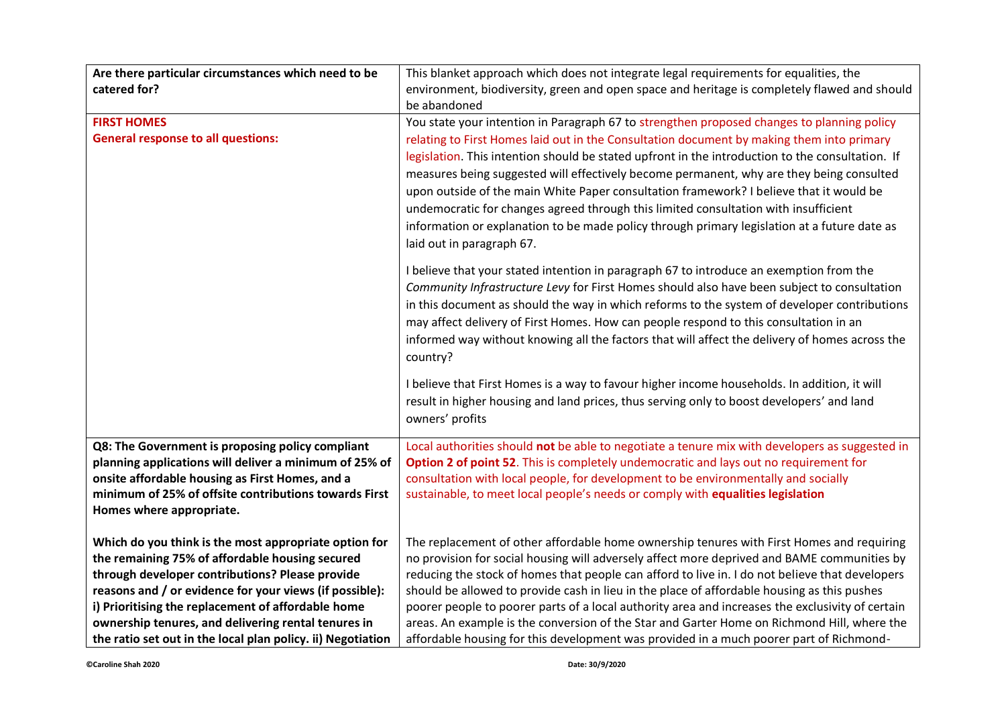| Are there particular circumstances which need to be         | This blanket approach which does not integrate legal requirements for equalities, the            |
|-------------------------------------------------------------|--------------------------------------------------------------------------------------------------|
| catered for?                                                | environment, biodiversity, green and open space and heritage is completely flawed and should     |
|                                                             | be abandoned                                                                                     |
| <b>FIRST HOMES</b>                                          | You state your intention in Paragraph 67 to strengthen proposed changes to planning policy       |
| <b>General response to all questions:</b>                   | relating to First Homes laid out in the Consultation document by making them into primary        |
|                                                             | legislation. This intention should be stated upfront in the introduction to the consultation. If |
|                                                             | measures being suggested will effectively become permanent, why are they being consulted         |
|                                                             | upon outside of the main White Paper consultation framework? I believe that it would be          |
|                                                             | undemocratic for changes agreed through this limited consultation with insufficient              |
|                                                             | information or explanation to be made policy through primary legislation at a future date as     |
|                                                             | laid out in paragraph 67.                                                                        |
|                                                             |                                                                                                  |
|                                                             | I believe that your stated intention in paragraph 67 to introduce an exemption from the          |
|                                                             | Community Infrastructure Levy for First Homes should also have been subject to consultation      |
|                                                             | in this document as should the way in which reforms to the system of developer contributions     |
|                                                             | may affect delivery of First Homes. How can people respond to this consultation in an            |
|                                                             | informed way without knowing all the factors that will affect the delivery of homes across the   |
|                                                             | country?                                                                                         |
|                                                             | I believe that First Homes is a way to favour higher income households. In addition, it will     |
|                                                             | result in higher housing and land prices, thus serving only to boost developers' and land        |
|                                                             | owners' profits                                                                                  |
|                                                             |                                                                                                  |
| Q8: The Government is proposing policy compliant            | Local authorities should not be able to negotiate a tenure mix with developers as suggested in   |
| planning applications will deliver a minimum of 25% of      | Option 2 of point 52. This is completely undemocratic and lays out no requirement for            |
| onsite affordable housing as First Homes, and a             | consultation with local people, for development to be environmentally and socially               |
| minimum of 25% of offsite contributions towards First       | sustainable, to meet local people's needs or comply with equalities legislation                  |
| Homes where appropriate.                                    |                                                                                                  |
| Which do you think is the most appropriate option for       | The replacement of other affordable home ownership tenures with First Homes and requiring        |
| the remaining 75% of affordable housing secured             | no provision for social housing will adversely affect more deprived and BAME communities by      |
| through developer contributions? Please provide             | reducing the stock of homes that people can afford to live in. I do not believe that developers  |
| reasons and / or evidence for your views (if possible):     | should be allowed to provide cash in lieu in the place of affordable housing as this pushes      |
| i) Prioritising the replacement of affordable home          | poorer people to poorer parts of a local authority area and increases the exclusivity of certain |
| ownership tenures, and delivering rental tenures in         | areas. An example is the conversion of the Star and Garter Home on Richmond Hill, where the      |
| the ratio set out in the local plan policy. ii) Negotiation | affordable housing for this development was provided in a much poorer part of Richmond-          |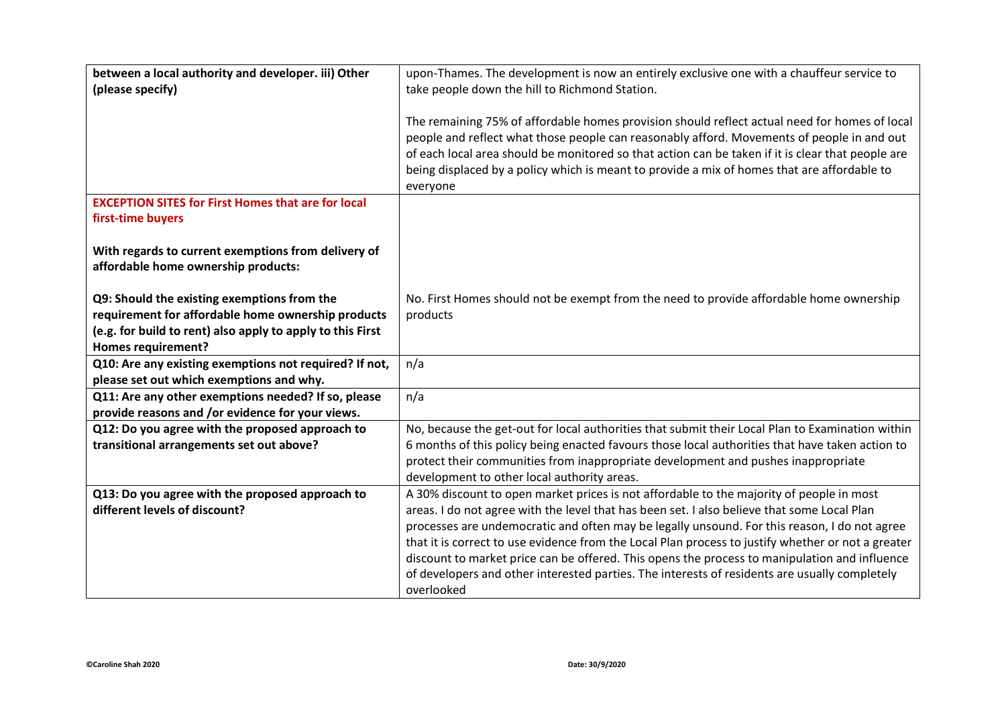| between a local authority and developer. iii) Other        | upon-Thames. The development is now an entirely exclusive one with a chauffeur service to          |
|------------------------------------------------------------|----------------------------------------------------------------------------------------------------|
| (please specify)                                           | take people down the hill to Richmond Station.                                                     |
|                                                            | The remaining 75% of affordable homes provision should reflect actual need for homes of local      |
|                                                            | people and reflect what those people can reasonably afford. Movements of people in and out         |
|                                                            | of each local area should be monitored so that action can be taken if it is clear that people are  |
|                                                            | being displaced by a policy which is meant to provide a mix of homes that are affordable to        |
|                                                            | everyone                                                                                           |
| <b>EXCEPTION SITES for First Homes that are for local</b>  |                                                                                                    |
| first-time buyers                                          |                                                                                                    |
|                                                            |                                                                                                    |
| With regards to current exemptions from delivery of        |                                                                                                    |
| affordable home ownership products:                        |                                                                                                    |
|                                                            |                                                                                                    |
| Q9: Should the existing exemptions from the                | No. First Homes should not be exempt from the need to provide affordable home ownership            |
| requirement for affordable home ownership products         | products                                                                                           |
| (e.g. for build to rent) also apply to apply to this First |                                                                                                    |
| <b>Homes requirement?</b>                                  |                                                                                                    |
| Q10: Are any existing exemptions not required? If not,     | n/a                                                                                                |
| please set out which exemptions and why.                   |                                                                                                    |
| Q11: Are any other exemptions needed? If so, please        | n/a                                                                                                |
| provide reasons and /or evidence for your views.           |                                                                                                    |
| Q12: Do you agree with the proposed approach to            | No, because the get-out for local authorities that submit their Local Plan to Examination within   |
| transitional arrangements set out above?                   | 6 months of this policy being enacted favours those local authorities that have taken action to    |
|                                                            | protect their communities from inappropriate development and pushes inappropriate                  |
|                                                            | development to other local authority areas.                                                        |
| Q13: Do you agree with the proposed approach to            | A 30% discount to open market prices is not affordable to the majority of people in most           |
| different levels of discount?                              | areas. I do not agree with the level that has been set. I also believe that some Local Plan        |
|                                                            | processes are undemocratic and often may be legally unsound. For this reason, I do not agree       |
|                                                            | that it is correct to use evidence from the Local Plan process to justify whether or not a greater |
|                                                            | discount to market price can be offered. This opens the process to manipulation and influence      |
|                                                            | of developers and other interested parties. The interests of residents are usually completely      |
|                                                            | overlooked                                                                                         |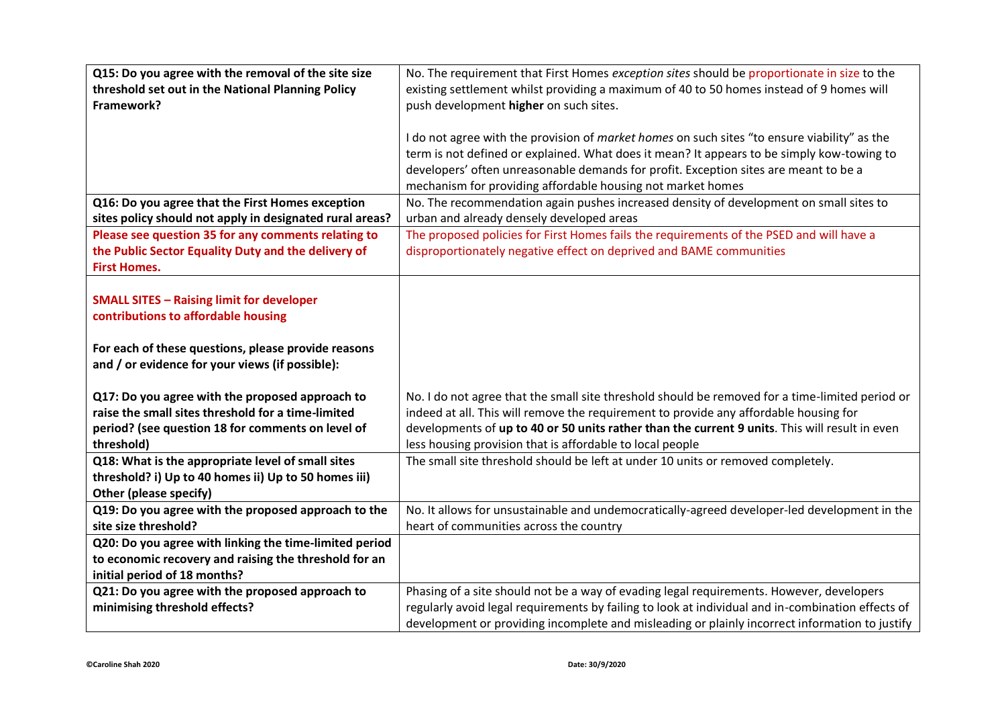| Q15: Do you agree with the removal of the site size      | No. The requirement that First Homes exception sites should be proportionate in size to the       |
|----------------------------------------------------------|---------------------------------------------------------------------------------------------------|
| threshold set out in the National Planning Policy        | existing settlement whilst providing a maximum of 40 to 50 homes instead of 9 homes will          |
| Framework?                                               | push development higher on such sites.                                                            |
|                                                          |                                                                                                   |
|                                                          | I do not agree with the provision of market homes on such sites "to ensure viability" as the      |
|                                                          | term is not defined or explained. What does it mean? It appears to be simply kow-towing to        |
|                                                          | developers' often unreasonable demands for profit. Exception sites are meant to be a              |
|                                                          | mechanism for providing affordable housing not market homes                                       |
| Q16: Do you agree that the First Homes exception         | No. The recommendation again pushes increased density of development on small sites to            |
| sites policy should not apply in designated rural areas? | urban and already densely developed areas                                                         |
| Please see question 35 for any comments relating to      | The proposed policies for First Homes fails the requirements of the PSED and will have a          |
| the Public Sector Equality Duty and the delivery of      | disproportionately negative effect on deprived and BAME communities                               |
| <b>First Homes.</b>                                      |                                                                                                   |
|                                                          |                                                                                                   |
| <b>SMALL SITES - Raising limit for developer</b>         |                                                                                                   |
| contributions to affordable housing                      |                                                                                                   |
|                                                          |                                                                                                   |
| For each of these questions, please provide reasons      |                                                                                                   |
| and / or evidence for your views (if possible):          |                                                                                                   |
|                                                          |                                                                                                   |
| Q17: Do you agree with the proposed approach to          | No. I do not agree that the small site threshold should be removed for a time-limited period or   |
| raise the small sites threshold for a time-limited       | indeed at all. This will remove the requirement to provide any affordable housing for             |
| period? (see question 18 for comments on level of        | developments of up to 40 or 50 units rather than the current 9 units. This will result in even    |
| threshold)                                               | less housing provision that is affordable to local people                                         |
| Q18: What is the appropriate level of small sites        | The small site threshold should be left at under 10 units or removed completely.                  |
| threshold? i) Up to 40 homes ii) Up to 50 homes iii)     |                                                                                                   |
| Other (please specify)                                   |                                                                                                   |
| Q19: Do you agree with the proposed approach to the      | No. It allows for unsustainable and undemocratically-agreed developer-led development in the      |
| site size threshold?                                     | heart of communities across the country                                                           |
| Q20: Do you agree with linking the time-limited period   |                                                                                                   |
| to economic recovery and raising the threshold for an    |                                                                                                   |
| initial period of 18 months?                             |                                                                                                   |
| Q21: Do you agree with the proposed approach to          | Phasing of a site should not be a way of evading legal requirements. However, developers          |
| minimising threshold effects?                            | regularly avoid legal requirements by failing to look at individual and in-combination effects of |
|                                                          | development or providing incomplete and misleading or plainly incorrect information to justify    |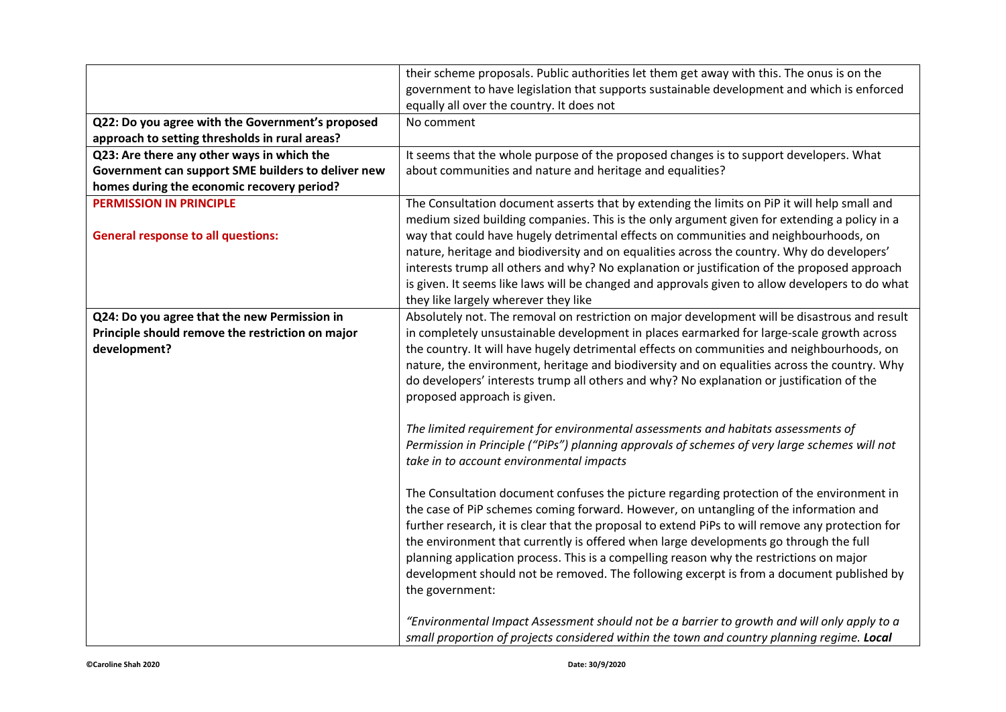|                                                    | their scheme proposals. Public authorities let them get away with this. The onus is on the       |
|----------------------------------------------------|--------------------------------------------------------------------------------------------------|
|                                                    | government to have legislation that supports sustainable development and which is enforced       |
|                                                    | equally all over the country. It does not                                                        |
| Q22: Do you agree with the Government's proposed   | No comment                                                                                       |
| approach to setting thresholds in rural areas?     |                                                                                                  |
| Q23: Are there any other ways in which the         | It seems that the whole purpose of the proposed changes is to support developers. What           |
| Government can support SME builders to deliver new | about communities and nature and heritage and equalities?                                        |
| homes during the economic recovery period?         |                                                                                                  |
| <b>PERMISSION IN PRINCIPLE</b>                     | The Consultation document asserts that by extending the limits on PiP it will help small and     |
|                                                    | medium sized building companies. This is the only argument given for extending a policy in a     |
| <b>General response to all questions:</b>          | way that could have hugely detrimental effects on communities and neighbourhoods, on             |
|                                                    | nature, heritage and biodiversity and on equalities across the country. Why do developers'       |
|                                                    | interests trump all others and why? No explanation or justification of the proposed approach     |
|                                                    | is given. It seems like laws will be changed and approvals given to allow developers to do what  |
|                                                    | they like largely wherever they like                                                             |
| Q24: Do you agree that the new Permission in       | Absolutely not. The removal on restriction on major development will be disastrous and result    |
| Principle should remove the restriction on major   | in completely unsustainable development in places earmarked for large-scale growth across        |
| development?                                       | the country. It will have hugely detrimental effects on communities and neighbourhoods, on       |
|                                                    | nature, the environment, heritage and biodiversity and on equalities across the country. Why     |
|                                                    | do developers' interests trump all others and why? No explanation or justification of the        |
|                                                    | proposed approach is given.                                                                      |
|                                                    |                                                                                                  |
|                                                    | The limited requirement for environmental assessments and habitats assessments of                |
|                                                    | Permission in Principle ("PiPs") planning approvals of schemes of very large schemes will not    |
|                                                    | take in to account environmental impacts                                                         |
|                                                    |                                                                                                  |
|                                                    | The Consultation document confuses the picture regarding protection of the environment in        |
|                                                    | the case of PiP schemes coming forward. However, on untangling of the information and            |
|                                                    | further research, it is clear that the proposal to extend PiPs to will remove any protection for |
|                                                    | the environment that currently is offered when large developments go through the full            |
|                                                    | planning application process. This is a compelling reason why the restrictions on major          |
|                                                    | development should not be removed. The following excerpt is from a document published by         |
|                                                    | the government:                                                                                  |
|                                                    | "Environmental Impact Assessment should not be a barrier to growth and will only apply to a      |
|                                                    |                                                                                                  |
|                                                    | small proportion of projects considered within the town and country planning regime. Local       |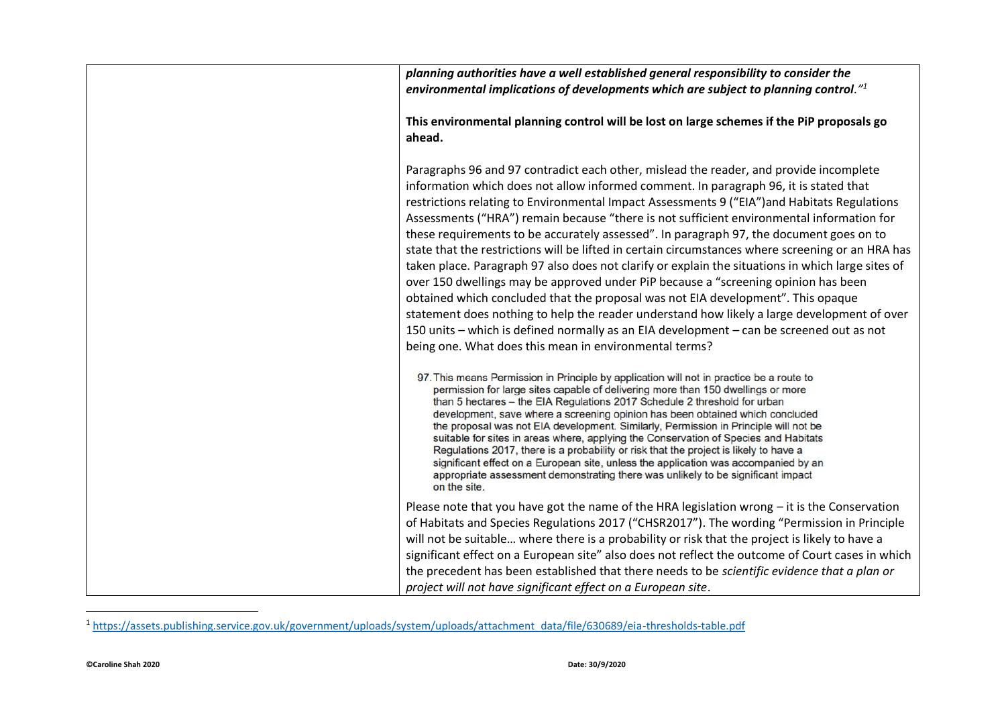| planning authorities have a well established general responsibility to consider the<br>environmental implications of developments which are subject to planning control." <sup>1</sup>                                                                                                                                                                                                                                                                                                                                                                                                                                                                                                                                                                                                                                                                                                                                                                                                                                                                                                                           |
|------------------------------------------------------------------------------------------------------------------------------------------------------------------------------------------------------------------------------------------------------------------------------------------------------------------------------------------------------------------------------------------------------------------------------------------------------------------------------------------------------------------------------------------------------------------------------------------------------------------------------------------------------------------------------------------------------------------------------------------------------------------------------------------------------------------------------------------------------------------------------------------------------------------------------------------------------------------------------------------------------------------------------------------------------------------------------------------------------------------|
| This environmental planning control will be lost on large schemes if the PiP proposals go<br>ahead.                                                                                                                                                                                                                                                                                                                                                                                                                                                                                                                                                                                                                                                                                                                                                                                                                                                                                                                                                                                                              |
| Paragraphs 96 and 97 contradict each other, mislead the reader, and provide incomplete<br>information which does not allow informed comment. In paragraph 96, it is stated that<br>restrictions relating to Environmental Impact Assessments 9 ("EIA") and Habitats Regulations<br>Assessments ("HRA") remain because "there is not sufficient environmental information for<br>these requirements to be accurately assessed". In paragraph 97, the document goes on to<br>state that the restrictions will be lifted in certain circumstances where screening or an HRA has<br>taken place. Paragraph 97 also does not clarify or explain the situations in which large sites of<br>over 150 dwellings may be approved under PiP because a "screening opinion has been<br>obtained which concluded that the proposal was not EIA development". This opaque<br>statement does nothing to help the reader understand how likely a large development of over<br>150 units - which is defined normally as an EIA development - can be screened out as not<br>being one. What does this mean in environmental terms? |
| 97. This means Permission in Principle by application will not in practice be a route to<br>permission for large sites capable of delivering more than 150 dwellings or more<br>than 5 hectares - the EIA Regulations 2017 Schedule 2 threshold for urban<br>development, save where a screening opinion has been obtained which concluded<br>the proposal was not EIA development. Similarly, Permission in Principle will not be<br>suitable for sites in areas where, applying the Conservation of Species and Habitats<br>Regulations 2017, there is a probability or risk that the project is likely to have a<br>significant effect on a European site, unless the application was accompanied by an<br>appropriate assessment demonstrating there was unlikely to be significant impact<br>on the site.                                                                                                                                                                                                                                                                                                   |
| Please note that you have got the name of the HRA legislation wrong - it is the Conservation                                                                                                                                                                                                                                                                                                                                                                                                                                                                                                                                                                                                                                                                                                                                                                                                                                                                                                                                                                                                                     |
| of Habitats and Species Regulations 2017 ("CHSR2017"). The wording "Permission in Principle                                                                                                                                                                                                                                                                                                                                                                                                                                                                                                                                                                                                                                                                                                                                                                                                                                                                                                                                                                                                                      |
| will not be suitable where there is a probability or risk that the project is likely to have a                                                                                                                                                                                                                                                                                                                                                                                                                                                                                                                                                                                                                                                                                                                                                                                                                                                                                                                                                                                                                   |
| significant effect on a European site" also does not reflect the outcome of Court cases in which                                                                                                                                                                                                                                                                                                                                                                                                                                                                                                                                                                                                                                                                                                                                                                                                                                                                                                                                                                                                                 |
| the precedent has been established that there needs to be scientific evidence that a plan or                                                                                                                                                                                                                                                                                                                                                                                                                                                                                                                                                                                                                                                                                                                                                                                                                                                                                                                                                                                                                     |
| project will not have significant effect on a European site.                                                                                                                                                                                                                                                                                                                                                                                                                                                                                                                                                                                                                                                                                                                                                                                                                                                                                                                                                                                                                                                     |

<sup>1</sup> [https://assets.publishing.service.gov.uk/government/uploads/system/uploads/attachment\\_data/file/630689/eia-thresholds-table.pdf](https://assets.publishing.service.gov.uk/government/uploads/system/uploads/attachment_data/file/630689/eia-thresholds-table.pdf)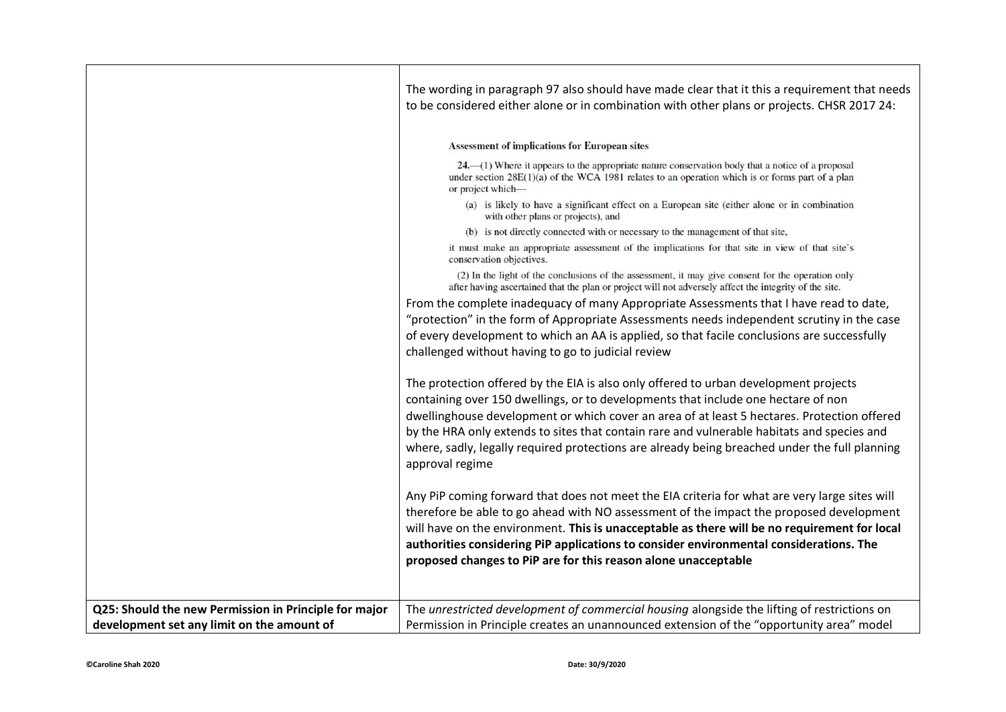|                                                       | The wording in paragraph 97 also should have made clear that it this a requirement that needs<br>to be considered either alone or in combination with other plans or projects. CHSR 2017 24:                                                                                                                                                                                                                                                                                               |
|-------------------------------------------------------|--------------------------------------------------------------------------------------------------------------------------------------------------------------------------------------------------------------------------------------------------------------------------------------------------------------------------------------------------------------------------------------------------------------------------------------------------------------------------------------------|
|                                                       | <b>Assessment of implications for European sites</b>                                                                                                                                                                                                                                                                                                                                                                                                                                       |
|                                                       | 24. - (1) Where it appears to the appropriate nature conservation body that a notice of a proposal<br>under section $28E(1)(a)$ of the WCA 1981 relates to an operation which is or forms part of a plan<br>or project which-                                                                                                                                                                                                                                                              |
|                                                       | (a) is likely to have a significant effect on a European site (either alone or in combination<br>with other plans or projects), and                                                                                                                                                                                                                                                                                                                                                        |
|                                                       | (b) is not directly connected with or necessary to the management of that site,                                                                                                                                                                                                                                                                                                                                                                                                            |
|                                                       | it must make an appropriate assessment of the implications for that site in view of that site's<br>conservation objectives.                                                                                                                                                                                                                                                                                                                                                                |
|                                                       | (2) In the light of the conclusions of the assessment, it may give consent for the operation only<br>after having ascertained that the plan or project will not adversely affect the integrity of the site.                                                                                                                                                                                                                                                                                |
|                                                       | From the complete inadequacy of many Appropriate Assessments that I have read to date,                                                                                                                                                                                                                                                                                                                                                                                                     |
|                                                       | "protection" in the form of Appropriate Assessments needs independent scrutiny in the case                                                                                                                                                                                                                                                                                                                                                                                                 |
|                                                       | of every development to which an AA is applied, so that facile conclusions are successfully<br>challenged without having to go to judicial review                                                                                                                                                                                                                                                                                                                                          |
|                                                       | The protection offered by the EIA is also only offered to urban development projects<br>containing over 150 dwellings, or to developments that include one hectare of non<br>dwellinghouse development or which cover an area of at least 5 hectares. Protection offered<br>by the HRA only extends to sites that contain rare and vulnerable habitats and species and<br>where, sadly, legally required protections are already being breached under the full planning<br>approval regime |
|                                                       | Any PiP coming forward that does not meet the EIA criteria for what are very large sites will<br>therefore be able to go ahead with NO assessment of the impact the proposed development<br>will have on the environment. This is unacceptable as there will be no requirement for local<br>authorities considering PiP applications to consider environmental considerations. The<br>proposed changes to PiP are for this reason alone unacceptable                                       |
|                                                       |                                                                                                                                                                                                                                                                                                                                                                                                                                                                                            |
| Q25: Should the new Permission in Principle for major | The unrestricted development of commercial housing alongside the lifting of restrictions on                                                                                                                                                                                                                                                                                                                                                                                                |
| development set any limit on the amount of            | Permission in Principle creates an unannounced extension of the "opportunity area" model                                                                                                                                                                                                                                                                                                                                                                                                   |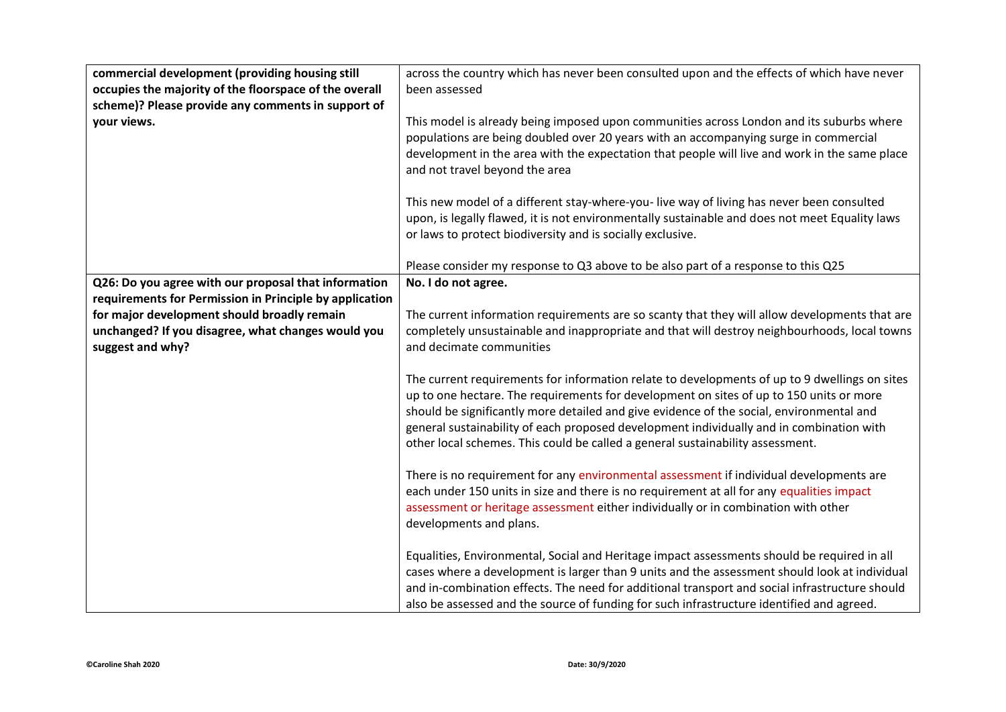| commercial development (providing housing still         | across the country which has never been consulted upon and the effects of which have never                                                                                                                                                                                                                                                                                                                                                                         |
|---------------------------------------------------------|--------------------------------------------------------------------------------------------------------------------------------------------------------------------------------------------------------------------------------------------------------------------------------------------------------------------------------------------------------------------------------------------------------------------------------------------------------------------|
| occupies the majority of the floorspace of the overall  | been assessed                                                                                                                                                                                                                                                                                                                                                                                                                                                      |
| scheme)? Please provide any comments in support of      |                                                                                                                                                                                                                                                                                                                                                                                                                                                                    |
| your views.                                             | This model is already being imposed upon communities across London and its suburbs where<br>populations are being doubled over 20 years with an accompanying surge in commercial<br>development in the area with the expectation that people will live and work in the same place<br>and not travel beyond the area                                                                                                                                                |
|                                                         | This new model of a different stay-where-you-live way of living has never been consulted<br>upon, is legally flawed, it is not environmentally sustainable and does not meet Equality laws<br>or laws to protect biodiversity and is socially exclusive.                                                                                                                                                                                                           |
|                                                         | Please consider my response to Q3 above to be also part of a response to this Q25                                                                                                                                                                                                                                                                                                                                                                                  |
| Q26: Do you agree with our proposal that information    | No. I do not agree.                                                                                                                                                                                                                                                                                                                                                                                                                                                |
| requirements for Permission in Principle by application |                                                                                                                                                                                                                                                                                                                                                                                                                                                                    |
| for major development should broadly remain             | The current information requirements are so scanty that they will allow developments that are                                                                                                                                                                                                                                                                                                                                                                      |
| unchanged? If you disagree, what changes would you      | completely unsustainable and inappropriate and that will destroy neighbourhoods, local towns                                                                                                                                                                                                                                                                                                                                                                       |
| suggest and why?                                        | and decimate communities                                                                                                                                                                                                                                                                                                                                                                                                                                           |
|                                                         | The current requirements for information relate to developments of up to 9 dwellings on sites<br>up to one hectare. The requirements for development on sites of up to 150 units or more<br>should be significantly more detailed and give evidence of the social, environmental and<br>general sustainability of each proposed development individually and in combination with<br>other local schemes. This could be called a general sustainability assessment. |
|                                                         | There is no requirement for any environmental assessment if individual developments are<br>each under 150 units in size and there is no requirement at all for any equalities impact<br>assessment or heritage assessment either individually or in combination with other<br>developments and plans.                                                                                                                                                              |
|                                                         | Equalities, Environmental, Social and Heritage impact assessments should be required in all<br>cases where a development is larger than 9 units and the assessment should look at individual<br>and in-combination effects. The need for additional transport and social infrastructure should<br>also be assessed and the source of funding for such infrastructure identified and agreed.                                                                        |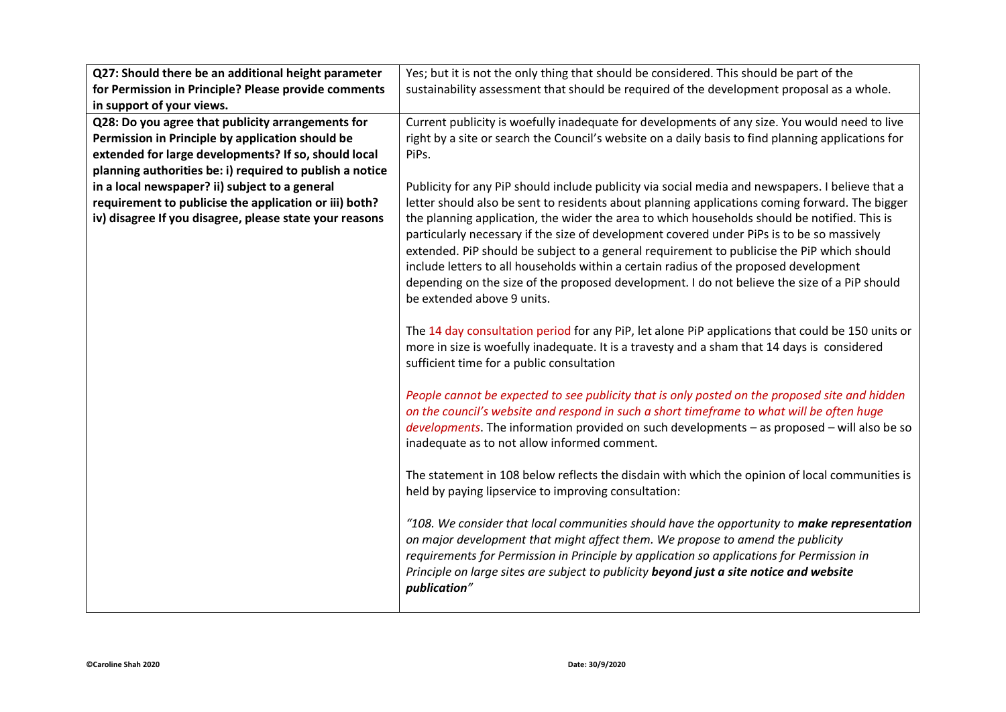| Q27: Should there be an additional height parameter      | Yes; but it is not the only thing that should be considered. This should be part of the            |
|----------------------------------------------------------|----------------------------------------------------------------------------------------------------|
| for Permission in Principle? Please provide comments     | sustainability assessment that should be required of the development proposal as a whole.          |
| in support of your views.                                |                                                                                                    |
| Q28: Do you agree that publicity arrangements for        | Current publicity is woefully inadequate for developments of any size. You would need to live      |
| Permission in Principle by application should be         | right by a site or search the Council's website on a daily basis to find planning applications for |
| extended for large developments? If so, should local     | PiPs.                                                                                              |
| planning authorities be: i) required to publish a notice |                                                                                                    |
| in a local newspaper? ii) subject to a general           | Publicity for any PiP should include publicity via social media and newspapers. I believe that a   |
| requirement to publicise the application or iii) both?   | letter should also be sent to residents about planning applications coming forward. The bigger     |
| iv) disagree If you disagree, please state your reasons  | the planning application, the wider the area to which households should be notified. This is       |
|                                                          | particularly necessary if the size of development covered under PiPs is to be so massively         |
|                                                          | extended. PiP should be subject to a general requirement to publicise the PiP which should         |
|                                                          | include letters to all households within a certain radius of the proposed development              |
|                                                          | depending on the size of the proposed development. I do not believe the size of a PiP should       |
|                                                          | be extended above 9 units.                                                                         |
|                                                          |                                                                                                    |
|                                                          | The 14 day consultation period for any PiP, let alone PiP applications that could be 150 units or  |
|                                                          | more in size is woefully inadequate. It is a travesty and a sham that 14 days is considered        |
|                                                          | sufficient time for a public consultation                                                          |
|                                                          |                                                                                                    |
|                                                          | People cannot be expected to see publicity that is only posted on the proposed site and hidden     |
|                                                          | on the council's website and respond in such a short timeframe to what will be often huge          |
|                                                          | $developments$ . The information provided on such developments - as proposed - will also be so     |
|                                                          | inadequate as to not allow informed comment.                                                       |
|                                                          | The statement in 108 below reflects the disdain with which the opinion of local communities is     |
|                                                          | held by paying lipservice to improving consultation:                                               |
|                                                          |                                                                                                    |
|                                                          | "108. We consider that local communities should have the opportunity to make representation        |
|                                                          | on major development that might affect them. We propose to amend the publicity                     |
|                                                          | requirements for Permission in Principle by application so applications for Permission in          |
|                                                          | Principle on large sites are subject to publicity beyond just a site notice and website            |
|                                                          | publication"                                                                                       |
|                                                          |                                                                                                    |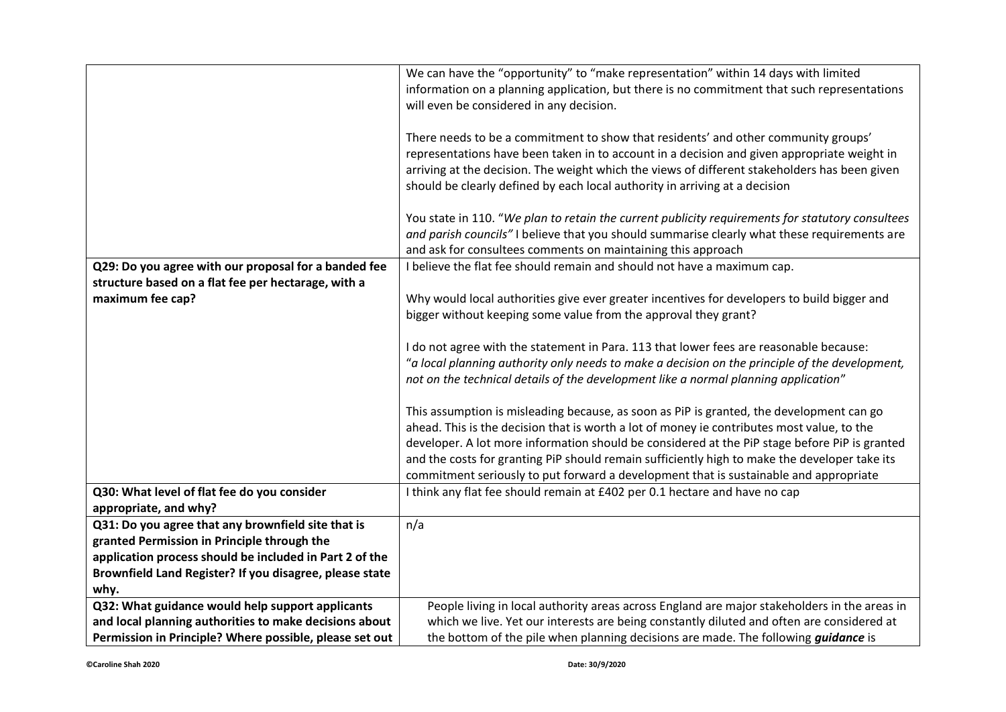|                                                         | We can have the "opportunity" to "make representation" within 14 days with limited               |
|---------------------------------------------------------|--------------------------------------------------------------------------------------------------|
|                                                         | information on a planning application, but there is no commitment that such representations      |
|                                                         | will even be considered in any decision.                                                         |
|                                                         |                                                                                                  |
|                                                         | There needs to be a commitment to show that residents' and other community groups'               |
|                                                         | representations have been taken in to account in a decision and given appropriate weight in      |
|                                                         |                                                                                                  |
|                                                         | arriving at the decision. The weight which the views of different stakeholders has been given    |
|                                                         | should be clearly defined by each local authority in arriving at a decision                      |
|                                                         |                                                                                                  |
|                                                         | You state in 110. "We plan to retain the current publicity requirements for statutory consultees |
|                                                         | and parish councils" I believe that you should summarise clearly what these requirements are     |
|                                                         | and ask for consultees comments on maintaining this approach                                     |
| Q29: Do you agree with our proposal for a banded fee    | I believe the flat fee should remain and should not have a maximum cap.                          |
| structure based on a flat fee per hectarage, with a     |                                                                                                  |
| maximum fee cap?                                        | Why would local authorities give ever greater incentives for developers to build bigger and      |
|                                                         | bigger without keeping some value from the approval they grant?                                  |
|                                                         |                                                                                                  |
|                                                         | I do not agree with the statement in Para. 113 that lower fees are reasonable because:           |
|                                                         | "a local planning authority only needs to make a decision on the principle of the development,   |
|                                                         |                                                                                                  |
|                                                         | not on the technical details of the development like a normal planning application"              |
|                                                         |                                                                                                  |
|                                                         | This assumption is misleading because, as soon as PiP is granted, the development can go         |
|                                                         | ahead. This is the decision that is worth a lot of money ie contributes most value, to the       |
|                                                         | developer. A lot more information should be considered at the PiP stage before PiP is granted    |
|                                                         | and the costs for granting PiP should remain sufficiently high to make the developer take its    |
|                                                         | commitment seriously to put forward a development that is sustainable and appropriate            |
| Q30: What level of flat fee do you consider             | I think any flat fee should remain at £402 per 0.1 hectare and have no cap                       |
| appropriate, and why?                                   |                                                                                                  |
| Q31: Do you agree that any brownfield site that is      | n/a                                                                                              |
| granted Permission in Principle through the             |                                                                                                  |
| application process should be included in Part 2 of the |                                                                                                  |
| Brownfield Land Register? If you disagree, please state |                                                                                                  |
| why.                                                    |                                                                                                  |
| Q32: What guidance would help support applicants        | People living in local authority areas across England are major stakeholders in the areas in     |
| and local planning authorities to make decisions about  | which we live. Yet our interests are being constantly diluted and often are considered at        |
| Permission in Principle? Where possible, please set out | the bottom of the pile when planning decisions are made. The following <i>guidance</i> is        |
|                                                         |                                                                                                  |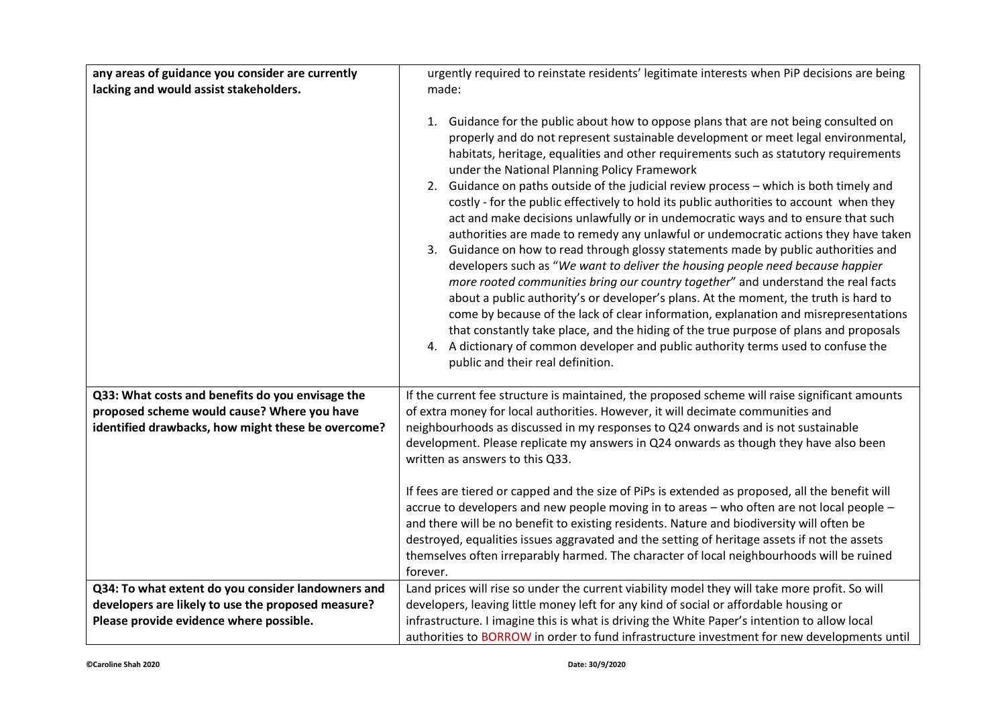| any areas of guidance you consider are currently                                                                                                      | urgently required to reinstate residents' legitimate interests when PiP decisions are being                                                                                                                                                                                                                                                                                                                                                                                                                                                                                                                                                                                                                                                                                                                                                                                                                                                                                                                                                                                                                                                                                                                                                                                                                                                                 |
|-------------------------------------------------------------------------------------------------------------------------------------------------------|-------------------------------------------------------------------------------------------------------------------------------------------------------------------------------------------------------------------------------------------------------------------------------------------------------------------------------------------------------------------------------------------------------------------------------------------------------------------------------------------------------------------------------------------------------------------------------------------------------------------------------------------------------------------------------------------------------------------------------------------------------------------------------------------------------------------------------------------------------------------------------------------------------------------------------------------------------------------------------------------------------------------------------------------------------------------------------------------------------------------------------------------------------------------------------------------------------------------------------------------------------------------------------------------------------------------------------------------------------------|
| lacking and would assist stakeholders.                                                                                                                | made:                                                                                                                                                                                                                                                                                                                                                                                                                                                                                                                                                                                                                                                                                                                                                                                                                                                                                                                                                                                                                                                                                                                                                                                                                                                                                                                                                       |
|                                                                                                                                                       | Guidance for the public about how to oppose plans that are not being consulted on<br>1.<br>properly and do not represent sustainable development or meet legal environmental,<br>habitats, heritage, equalities and other requirements such as statutory requirements<br>under the National Planning Policy Framework<br>2. Guidance on paths outside of the judicial review process - which is both timely and<br>costly - for the public effectively to hold its public authorities to account when they<br>act and make decisions unlawfully or in undemocratic ways and to ensure that such<br>authorities are made to remedy any unlawful or undemocratic actions they have taken<br>3. Guidance on how to read through glossy statements made by public authorities and<br>developers such as "We want to deliver the housing people need because happier<br>more rooted communities bring our country together" and understand the real facts<br>about a public authority's or developer's plans. At the moment, the truth is hard to<br>come by because of the lack of clear information, explanation and misrepresentations<br>that constantly take place, and the hiding of the true purpose of plans and proposals<br>A dictionary of common developer and public authority terms used to confuse the<br>4.<br>public and their real definition. |
| Q33: What costs and benefits do you envisage the<br>proposed scheme would cause? Where you have<br>identified drawbacks, how might these be overcome? | If the current fee structure is maintained, the proposed scheme will raise significant amounts<br>of extra money for local authorities. However, it will decimate communities and<br>neighbourhoods as discussed in my responses to Q24 onwards and is not sustainable<br>development. Please replicate my answers in Q24 onwards as though they have also been<br>written as answers to this Q33.<br>If fees are tiered or capped and the size of PiPs is extended as proposed, all the benefit will<br>accrue to developers and new people moving in to areas - who often are not local people -<br>and there will be no benefit to existing residents. Nature and biodiversity will often be<br>destroyed, equalities issues aggravated and the setting of heritage assets if not the assets<br>themselves often irreparably harmed. The character of local neighbourhoods will be ruined<br>forever.                                                                                                                                                                                                                                                                                                                                                                                                                                                    |
| Q34: To what extent do you consider landowners and                                                                                                    | Land prices will rise so under the current viability model they will take more profit. So will                                                                                                                                                                                                                                                                                                                                                                                                                                                                                                                                                                                                                                                                                                                                                                                                                                                                                                                                                                                                                                                                                                                                                                                                                                                              |
| developers are likely to use the proposed measure?                                                                                                    | developers, leaving little money left for any kind of social or affordable housing or                                                                                                                                                                                                                                                                                                                                                                                                                                                                                                                                                                                                                                                                                                                                                                                                                                                                                                                                                                                                                                                                                                                                                                                                                                                                       |
| Please provide evidence where possible.                                                                                                               | infrastructure. I imagine this is what is driving the White Paper's intention to allow local                                                                                                                                                                                                                                                                                                                                                                                                                                                                                                                                                                                                                                                                                                                                                                                                                                                                                                                                                                                                                                                                                                                                                                                                                                                                |
|                                                                                                                                                       | authorities to BORROW in order to fund infrastructure investment for new developments until                                                                                                                                                                                                                                                                                                                                                                                                                                                                                                                                                                                                                                                                                                                                                                                                                                                                                                                                                                                                                                                                                                                                                                                                                                                                 |